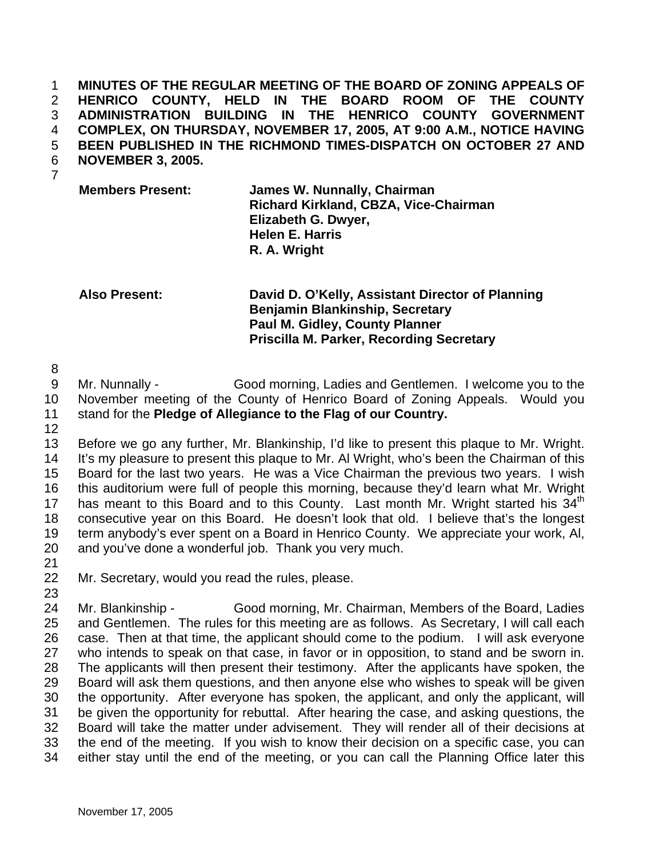**MINUTES OF THE REGULAR MEETING OF THE BOARD OF ZONING APPEALS OF HENRICO COUNTY, HELD IN THE BOARD ROOM OF THE COUNTY ADMINISTRATION BUILDING IN THE HENRICO COUNTY GOVERNMENT COMPLEX, ON THURSDAY, NOVEMBER 17, 2005, AT 9:00 A.M., NOTICE HAVING BEEN PUBLISHED IN THE RICHMOND TIMES-DISPATCH ON OCTOBER 27 AND NOVEMBER 3, 2005.**  1 2 3 4 5 6

7

**Members Present: James W. Nunnally, Chairman Richard Kirkland, CBZA, Vice-Chairman Elizabeth G. Dwyer, Helen E. Harris R. A. Wright** 

**Also Present: David D. O'Kelly, Assistant Director of Planning Benjamin Blankinship, Secretary Paul M. Gidley, County Planner Priscilla M. Parker, Recording Secretary** 

8

9 10 11 Mr. Nunnally - Good morning, Ladies and Gentlemen. I welcome you to the November meeting of the County of Henrico Board of Zoning Appeals. Would you stand for the **Pledge of Allegiance to the Flag of our Country.** 

12

13 14 15 16 17 18 19 20 Before we go any further, Mr. Blankinship, I'd like to present this plaque to Mr. Wright. It's my pleasure to present this plaque to Mr. Al Wright, who's been the Chairman of this Board for the last two years. He was a Vice Chairman the previous two years. I wish this auditorium were full of people this morning, because they'd learn what Mr. Wright has meant to this Board and to this County. Last month Mr. Wright started his 34<sup>th</sup> consecutive year on this Board. He doesn't look that old. I believe that's the longest term anybody's ever spent on a Board in Henrico County. We appreciate your work, Al, and you've done a wonderful job. Thank you very much.

21

22 Mr. Secretary, would you read the rules, please.

23

24 25 26 27 28 29 30 31 32 33 34 Mr. Blankinship - Good morning, Mr. Chairman, Members of the Board, Ladies and Gentlemen. The rules for this meeting are as follows. As Secretary, I will call each case. Then at that time, the applicant should come to the podium. I will ask everyone who intends to speak on that case, in favor or in opposition, to stand and be sworn in. The applicants will then present their testimony. After the applicants have spoken, the Board will ask them questions, and then anyone else who wishes to speak will be given the opportunity. After everyone has spoken, the applicant, and only the applicant, will be given the opportunity for rebuttal. After hearing the case, and asking questions, the Board will take the matter under advisement. They will render all of their decisions at the end of the meeting. If you wish to know their decision on a specific case, you can either stay until the end of the meeting, or you can call the Planning Office later this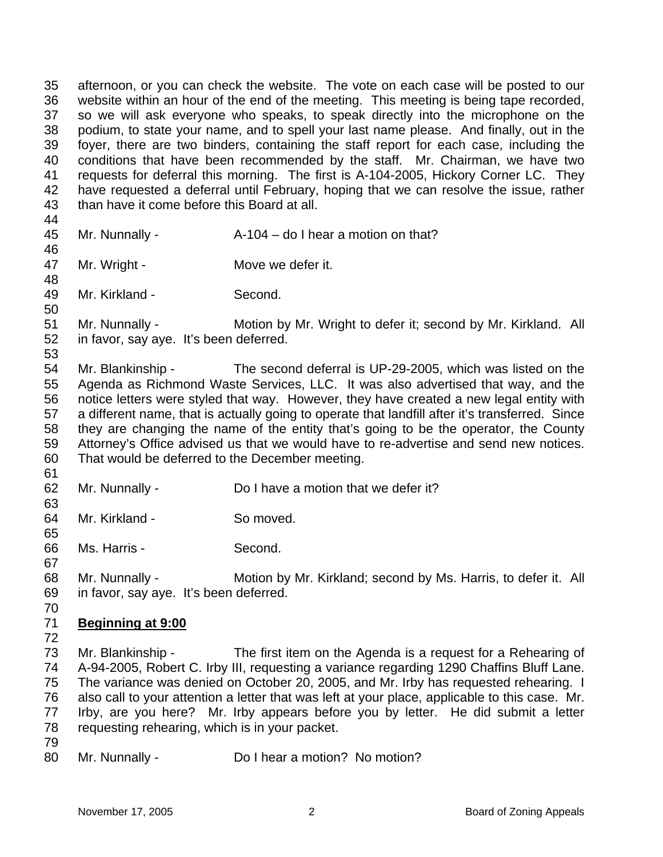35 36 37 38 39 40 41 42 43 afternoon, or you can check the website. The vote on each case will be posted to our website within an hour of the end of the meeting. This meeting is being tape recorded, so we will ask everyone who speaks, to speak directly into the microphone on the podium, to state your name, and to spell your last name please. And finally, out in the foyer, there are two binders, containing the staff report for each case, including the conditions that have been recommended by the staff. Mr. Chairman, we have two requests for deferral this morning. The first is A-104-2005, Hickory Corner LC. They have requested a deferral until February, hoping that we can resolve the issue, rather than have it come before this Board at all.

44 45

Mr. Nunnally -  $A-104 - do I$  hear a motion on that?

46

50

53

47 48 Mr. Wright - Move we defer it.

49 Mr. Kirkland - Second.

51 52 Mr. Nunnally - Motion by Mr. Wright to defer it; second by Mr. Kirkland. All in favor, say aye. It's been deferred.

54 55 56 57 58 59 60 Mr. Blankinship - The second deferral is UP-29-2005, which was listed on the Agenda as Richmond Waste Services, LLC. It was also advertised that way, and the notice letters were styled that way. However, they have created a new legal entity with a different name, that is actually going to operate that landfill after it's transferred. Since they are changing the name of the entity that's going to be the operator, the County Attorney's Office advised us that we would have to re-advertise and send new notices. That would be deferred to the December meeting.

61

63

65

62 Mr. Nunnally - Do I have a motion that we defer it?

64 Mr. Kirkland - So moved.

66 Ms. Harris - Second.

67

68 69 Mr. Nunnally - Motion by Mr. Kirkland; second by Ms. Harris, to defer it. All in favor, say aye. It's been deferred.

70

## 71 **Beginning at 9:00** 72

- 73 74 75 76 77 78 79 Mr. Blankinship - The first item on the Agenda is a request for a Rehearing of A-94-2005, Robert C. Irby III, requesting a variance regarding 1290 Chaffins Bluff Lane. The variance was denied on October 20, 2005, and Mr. Irby has requested rehearing. I also call to your attention a letter that was left at your place, applicable to this case. Mr. Irby, are you here? Mr. Irby appears before you by letter. He did submit a letter requesting rehearing, which is in your packet.
- 80 Mr. Nunnally - Do I hear a motion? No motion?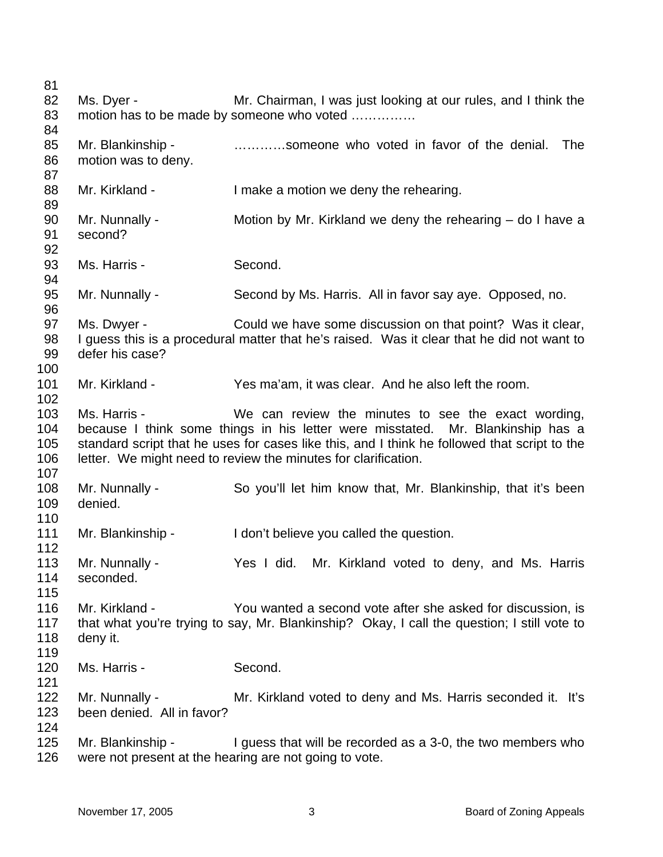81 82 83 84 85 86 87 88 89 90 91 92 93 94 95 96 97 98 99 100 101 102 103 104 105 106 107 108 109 110 111 112 113 114 115 116 117 118 119 120 121 122 123 124 125 126 Ms. Dyer - Mr. Chairman, I was just looking at our rules, and I think the motion has to be made by someone who voted …………… Mr. Blankinship - ....................someone who voted in favor of the denial. The motion was to deny. Mr. Kirkland - The Muslim I make a motion we deny the rehearing. Mr. Nunnally - Motion by Mr. Kirkland we deny the rehearing – do I have a second? Ms. Harris - Second. Mr. Nunnally - Second by Ms. Harris. All in favor say aye. Opposed, no. Ms. Dwyer - Could we have some discussion on that point? Was it clear, I guess this is a procedural matter that he's raised. Was it clear that he did not want to defer his case? Mr. Kirkland - Yes ma'am, it was clear. And he also left the room. Ms. Harris - We can review the minutes to see the exact wording, because I think some things in his letter were misstated. Mr. Blankinship has a standard script that he uses for cases like this, and I think he followed that script to the letter. We might need to review the minutes for clarification. Mr. Nunnally - So you'll let him know that, Mr. Blankinship, that it's been denied. Mr. Blankinship - I don't believe you called the question. Mr. Nunnally - Yes I did. Mr. Kirkland voted to deny, and Ms. Harris seconded. Mr. Kirkland - You wanted a second vote after she asked for discussion, is that what you're trying to say, Mr. Blankinship? Okay, I call the question; I still vote to deny it. Ms. Harris - Second. Mr. Nunnally - Mr. Kirkland voted to deny and Ms. Harris seconded it. It's been denied. All in favor? Mr. Blankinship - I guess that will be recorded as a 3-0, the two members who were not present at the hearing are not going to vote.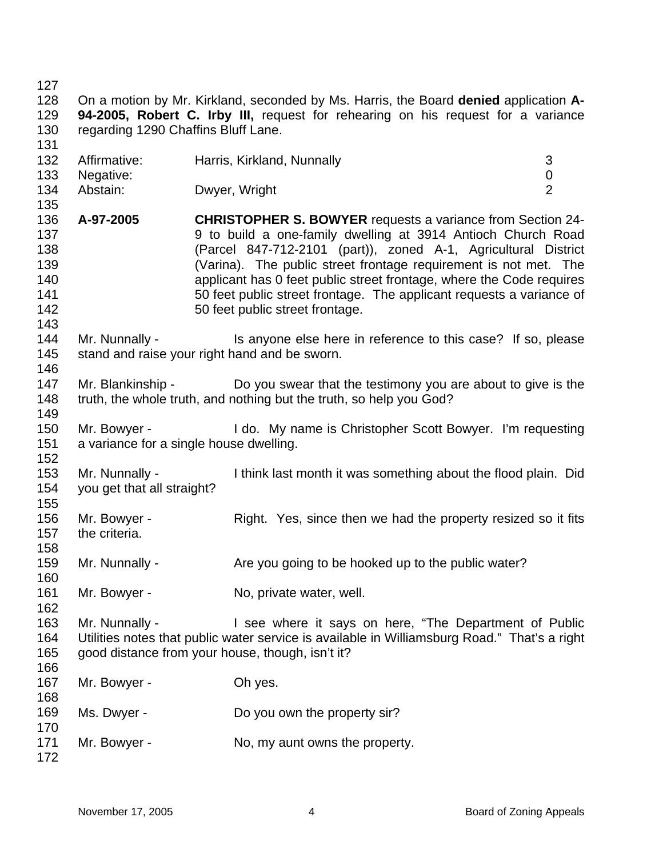127 128 129 130 131 132 133 134 135 136 137 138 139 140 141 142 143 144 145 146 147 148 149 150 151 152 153 154 155 156 157 158 159 160 161 162 163 164 165 166 167 168 169 170 171 172 On a motion by Mr. Kirkland, seconded by Ms. Harris, the Board **denied** application **A-94-2005, Robert C. Irby III,** request for rehearing on his request for a variance regarding 1290 Chaffins Bluff Lane. Affirmative: Harris, Kirkland, Nunnally 3 Negative: 0 Abstain: Dwyer, Wright 2 **A-97-2005 CHRISTOPHER S. BOWYER** requests a variance from Section 24- 9 to build a one-family dwelling at 3914 Antioch Church Road (Parcel 847-712-2101 (part)), zoned A-1, Agricultural District (Varina). The public street frontage requirement is not met. The applicant has 0 feet public street frontage, where the Code requires 50 feet public street frontage. The applicant requests a variance of 50 feet public street frontage. Mr. Nunnally - This anyone else here in reference to this case? If so, please stand and raise your right hand and be sworn. Mr. Blankinship - Do you swear that the testimony you are about to give is the truth, the whole truth, and nothing but the truth, so help you God? Mr. Bowyer - I do. My name is Christopher Scott Bowyer. I'm requesting a variance for a single house dwelling. Mr. Nunnally - Think last month it was something about the flood plain. Did you get that all straight? Mr. Bowyer - Right. Yes, since then we had the property resized so it fits the criteria. Mr. Nunnally - Are you going to be hooked up to the public water? Mr. Bowyer - No, private water, well. Mr. Nunnally - **I** see where it says on here, "The Department of Public Utilities notes that public water service is available in Williamsburg Road." That's a right good distance from your house, though, isn't it? Mr. Bowyer - Chyes. Ms. Dwyer - Do you own the property sir? Mr. Bowyer - No, my aunt owns the property.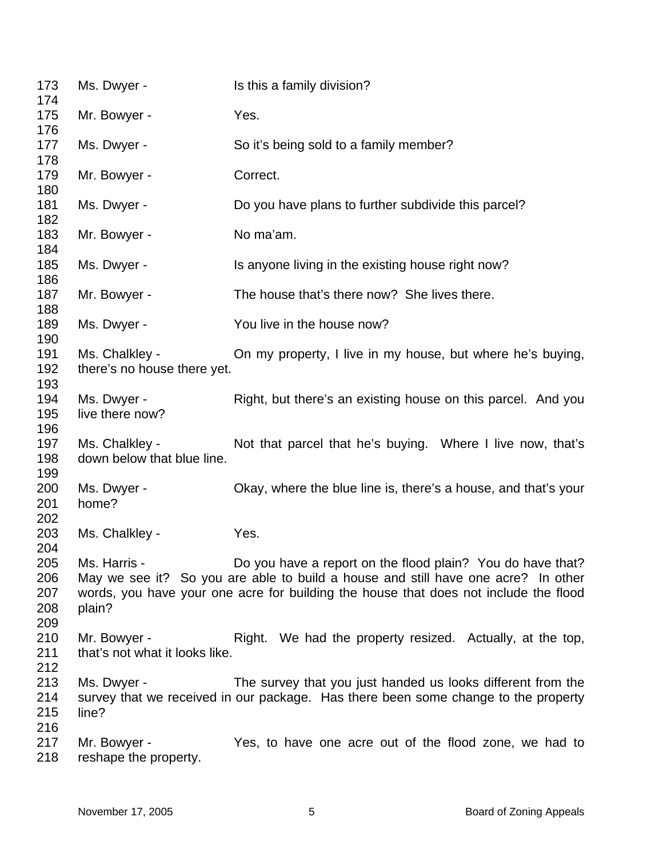| 173<br>174               | Ms. Dwyer -                                    | Is this a family division?                                                                                                                                                                                                              |
|--------------------------|------------------------------------------------|-----------------------------------------------------------------------------------------------------------------------------------------------------------------------------------------------------------------------------------------|
| 175                      | Mr. Bowyer -                                   | Yes.                                                                                                                                                                                                                                    |
| 176<br>177               | Ms. Dwyer -                                    | So it's being sold to a family member?                                                                                                                                                                                                  |
| 178<br>179               | Mr. Bowyer -                                   | Correct.                                                                                                                                                                                                                                |
| 180<br>181               | Ms. Dwyer -                                    | Do you have plans to further subdivide this parcel?                                                                                                                                                                                     |
| 182<br>183               | Mr. Bowyer -                                   | No ma'am.                                                                                                                                                                                                                               |
| 184<br>185               | Ms. Dwyer -                                    | Is anyone living in the existing house right now?                                                                                                                                                                                       |
| 186<br>187               | Mr. Bowyer -                                   | The house that's there now? She lives there.                                                                                                                                                                                            |
| 188<br>189               | Ms. Dwyer -                                    | You live in the house now?                                                                                                                                                                                                              |
| 190<br>191<br>192        | Ms. Chalkley -<br>there's no house there yet.  | On my property, I live in my house, but where he's buying,                                                                                                                                                                              |
| 193<br>194<br>195        | Ms. Dwyer -<br>live there now?                 | Right, but there's an existing house on this parcel. And you                                                                                                                                                                            |
| 196<br>197<br>198        | Ms. Chalkley -<br>down below that blue line.   | Not that parcel that he's buying. Where I live now, that's                                                                                                                                                                              |
| 199<br>200<br>201        | Ms. Dwyer -<br>home?                           | Okay, where the blue line is, there's a house, and that's your                                                                                                                                                                          |
| 202<br>203<br>204        | Ms. Chalkley -                                 | Yes.                                                                                                                                                                                                                                    |
| 205<br>206<br>207<br>208 | Ms. Harris -<br>plain?                         | Do you have a report on the flood plain? You do have that?<br>May we see it? So you are able to build a house and still have one acre? In other<br>words, you have your one acre for building the house that does not include the flood |
| 209<br>210<br>211        | Mr. Bowyer -<br>that's not what it looks like. | Right. We had the property resized. Actually, at the top,                                                                                                                                                                               |
| 212<br>213<br>214<br>215 | Ms. Dwyer -<br>line?                           | The survey that you just handed us looks different from the<br>survey that we received in our package. Has there been some change to the property                                                                                       |
| 216<br>217<br>218        | Mr. Bowyer -<br>reshape the property.          | Yes, to have one acre out of the flood zone, we had to                                                                                                                                                                                  |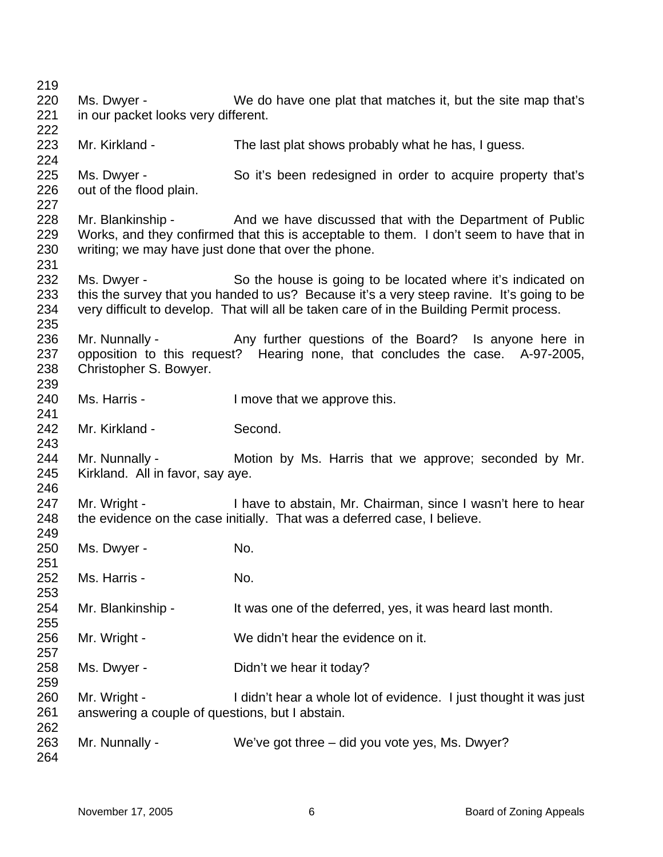| 219 |                                                     |                                                                                           |
|-----|-----------------------------------------------------|-------------------------------------------------------------------------------------------|
| 220 | Ms. Dwyer -                                         | We do have one plat that matches it, but the site map that's                              |
| 221 | in our packet looks very different.                 |                                                                                           |
| 222 |                                                     |                                                                                           |
| 223 | Mr. Kirkland -                                      | The last plat shows probably what he has, I guess.                                        |
| 224 |                                                     |                                                                                           |
| 225 | Ms. Dwyer -                                         | So it's been redesigned in order to acquire property that's                               |
| 226 | out of the flood plain.                             |                                                                                           |
| 227 |                                                     |                                                                                           |
| 228 | Mr. Blankinship -                                   | And we have discussed that with the Department of Public                                  |
| 229 |                                                     | Works, and they confirmed that this is acceptable to them. I don't seem to have that in   |
| 230 |                                                     |                                                                                           |
|     | writing; we may have just done that over the phone. |                                                                                           |
| 231 |                                                     |                                                                                           |
| 232 | Ms. Dwyer -                                         | So the house is going to be located where it's indicated on                               |
| 233 |                                                     | this the survey that you handed to us? Because it's a very steep ravine. It's going to be |
| 234 |                                                     | very difficult to develop. That will all be taken care of in the Building Permit process. |
| 235 |                                                     |                                                                                           |
| 236 | Mr. Nunnally -                                      | Any further questions of the Board? Is anyone here in                                     |
| 237 |                                                     | opposition to this request? Hearing none, that concludes the case. A-97-2005,             |
| 238 | Christopher S. Bowyer.                              |                                                                                           |
| 239 |                                                     |                                                                                           |
| 240 | Ms. Harris -                                        | I move that we approve this.                                                              |
| 241 |                                                     |                                                                                           |
| 242 | Mr. Kirkland -                                      | Second.                                                                                   |
| 243 |                                                     |                                                                                           |
| 244 | Mr. Nunnally -                                      | Motion by Ms. Harris that we approve; seconded by Mr.                                     |
| 245 | Kirkland. All in favor, say aye.                    |                                                                                           |
| 246 |                                                     |                                                                                           |
| 247 | Mr. Wright -                                        | I have to abstain, Mr. Chairman, since I wasn't here to hear                              |
| 248 |                                                     | the evidence on the case initially. That was a deferred case, I believe.                  |
| 249 |                                                     |                                                                                           |
| 250 | Ms. Dwyer -                                         | No.                                                                                       |
| 251 |                                                     |                                                                                           |
| 252 | Ms. Harris -                                        | No.                                                                                       |
| 253 |                                                     |                                                                                           |
| 254 | Mr. Blankinship -                                   | It was one of the deferred, yes, it was heard last month.                                 |
| 255 |                                                     |                                                                                           |
| 256 | Mr. Wright -                                        | We didn't hear the evidence on it.                                                        |
| 257 |                                                     |                                                                                           |
| 258 | Ms. Dwyer -                                         | Didn't we hear it today?                                                                  |
| 259 |                                                     |                                                                                           |
| 260 | Mr. Wright -                                        | I didn't hear a whole lot of evidence. I just thought it was just                         |
| 261 | answering a couple of questions, but I abstain.     |                                                                                           |
| 262 |                                                     |                                                                                           |
| 263 | Mr. Nunnally -                                      | We've got three – did you vote yes, Ms. Dwyer?                                            |
| 264 |                                                     |                                                                                           |
|     |                                                     |                                                                                           |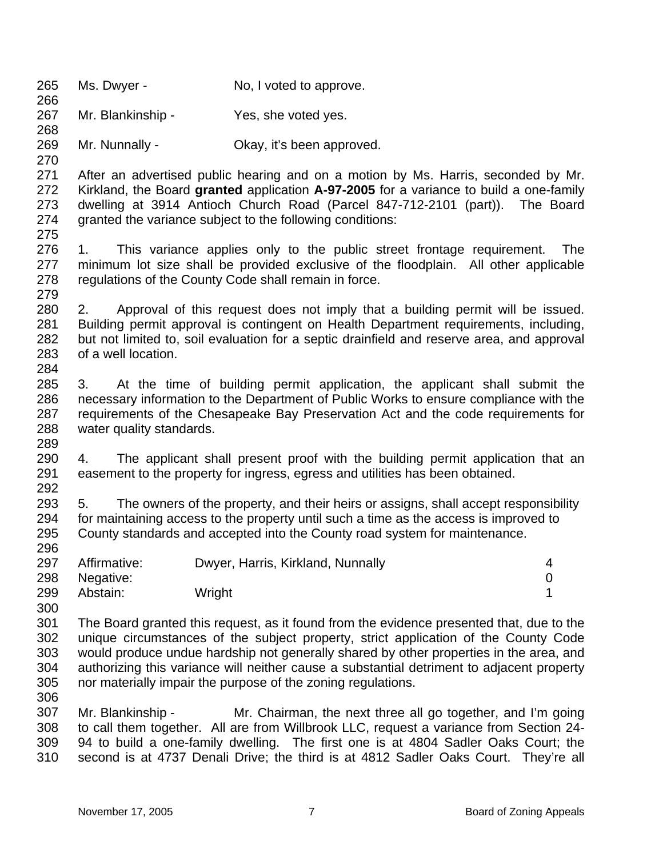| 265<br>266                             | Ms. Dwyer -                                                                                                                                                                                                                                                                                                                                                                                                                            | No, I voted to approve.                                                                                                                                                                                                                                                                                                            |             |
|----------------------------------------|----------------------------------------------------------------------------------------------------------------------------------------------------------------------------------------------------------------------------------------------------------------------------------------------------------------------------------------------------------------------------------------------------------------------------------------|------------------------------------------------------------------------------------------------------------------------------------------------------------------------------------------------------------------------------------------------------------------------------------------------------------------------------------|-------------|
| 267<br>268                             | Mr. Blankinship -                                                                                                                                                                                                                                                                                                                                                                                                                      | Yes, she voted yes.                                                                                                                                                                                                                                                                                                                |             |
| 269<br>270                             | Mr. Nunnally -                                                                                                                                                                                                                                                                                                                                                                                                                         | Okay, it's been approved.                                                                                                                                                                                                                                                                                                          |             |
| 271<br>272<br>273<br>274<br>275        |                                                                                                                                                                                                                                                                                                                                                                                                                                        | After an advertised public hearing and on a motion by Ms. Harris, seconded by Mr.<br>Kirkland, the Board granted application A-97-2005 for a variance to build a one-family<br>dwelling at 3914 Antioch Church Road (Parcel 847-712-2101 (part)). The Board<br>granted the variance subject to the following conditions:           |             |
| 276<br>277<br>278<br>279               | This variance applies only to the public street frontage requirement.<br>The<br>1.<br>minimum lot size shall be provided exclusive of the floodplain. All other applicable<br>regulations of the County Code shall remain in force.                                                                                                                                                                                                    |                                                                                                                                                                                                                                                                                                                                    |             |
| 280<br>281<br>282<br>283<br>284        | Approval of this request does not imply that a building permit will be issued.<br>2.<br>Building permit approval is contingent on Health Department requirements, including,<br>but not limited to, soil evaluation for a septic drainfield and reserve area, and approval<br>of a well location.                                                                                                                                      |                                                                                                                                                                                                                                                                                                                                    |             |
| 285<br>286<br>287<br>288<br>289        | 3.<br>At the time of building permit application, the applicant shall submit the<br>necessary information to the Department of Public Works to ensure compliance with the<br>requirements of the Chesapeake Bay Preservation Act and the code requirements for<br>water quality standards.                                                                                                                                             |                                                                                                                                                                                                                                                                                                                                    |             |
| 290<br>291<br>292                      | 4.                                                                                                                                                                                                                                                                                                                                                                                                                                     | The applicant shall present proof with the building permit application that an<br>easement to the property for ingress, egress and utilities has been obtained.                                                                                                                                                                    |             |
| 293<br>294<br>295<br>296               | 5.                                                                                                                                                                                                                                                                                                                                                                                                                                     | The owners of the property, and their heirs or assigns, shall accept responsibility<br>for maintaining access to the property until such a time as the access is improved to<br>County standards and accepted into the County road system for maintenance.                                                                         |             |
| 297<br>298<br>299<br>300               | Affirmative:<br>Negative:<br>Wright<br>Abstain:                                                                                                                                                                                                                                                                                                                                                                                        | Dwyer, Harris, Kirkland, Nunnally                                                                                                                                                                                                                                                                                                  | 4<br>0<br>1 |
| 301<br>302<br>303<br>304<br>305<br>306 | The Board granted this request, as it found from the evidence presented that, due to the<br>unique circumstances of the subject property, strict application of the County Code<br>would produce undue hardship not generally shared by other properties in the area, and<br>authorizing this variance will neither cause a substantial detriment to adjacent property<br>nor materially impair the purpose of the zoning regulations. |                                                                                                                                                                                                                                                                                                                                    |             |
| 307<br>308<br>309<br>310               | Mr. Blankinship -                                                                                                                                                                                                                                                                                                                                                                                                                      | Mr. Chairman, the next three all go together, and I'm going<br>to call them together. All are from Willbrook LLC, request a variance from Section 24-<br>94 to build a one-family dwelling. The first one is at 4804 Sadler Oaks Court; the<br>second is at 4737 Denali Drive; the third is at 4812 Sadler Oaks Court. They're all |             |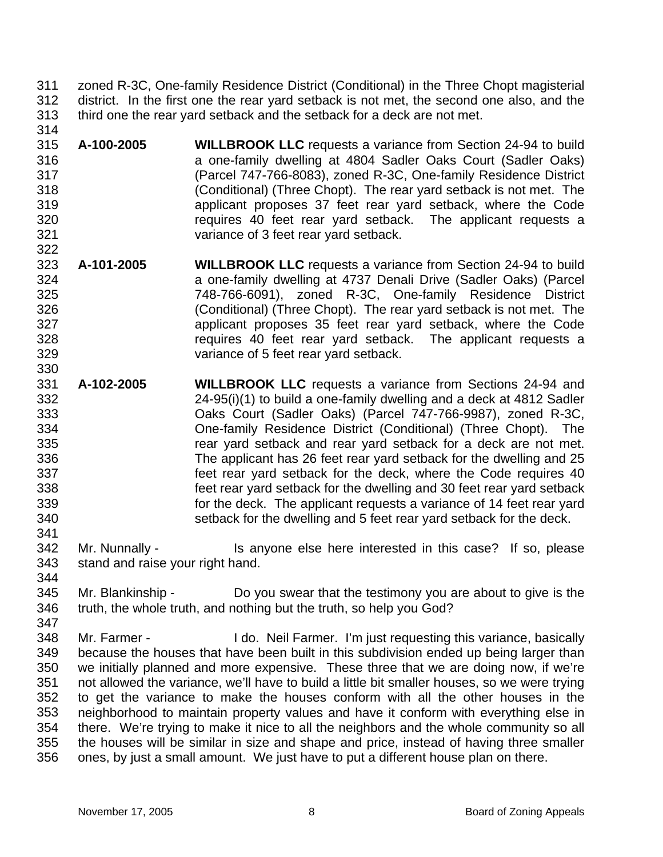- 311 312 313 zoned R-3C, One-family Residence District (Conditional) in the Three Chopt magisterial district. In the first one the rear yard setback is not met, the second one also, and the third one the rear yard setback and the setback for a deck are not met.
- 314 315 316 317 318 319 320 321 **A-100-2005 WILLBROOK LLC** requests a variance from Section 24-94 to build a one-family dwelling at 4804 Sadler Oaks Court (Sadler Oaks) (Parcel 747-766-8083), zoned R-3C, One-family Residence District (Conditional) (Three Chopt). The rear yard setback is not met. The applicant proposes 37 feet rear yard setback, where the Code requires 40 feet rear yard setback. The applicant requests a variance of 3 feet rear yard setback.
- 323 324 325 326 327 328 329 330 **A-101-2005 WILLBROOK LLC** requests a variance from Section 24-94 to build a one-family dwelling at 4737 Denali Drive (Sadler Oaks) (Parcel 748-766-6091), zoned R-3C, One-family Residence District (Conditional) (Three Chopt). The rear yard setback is not met. The applicant proposes 35 feet rear yard setback, where the Code requires 40 feet rear yard setback. The applicant requests a variance of 5 feet rear yard setback.
- 331 332 333 334 335 336 337 338 339 340 **A-102-2005 WILLBROOK LLC** requests a variance from Sections 24-94 and 24-95(i)(1) to build a one-family dwelling and a deck at 4812 Sadler Oaks Court (Sadler Oaks) (Parcel 747-766-9987), zoned R-3C, One-family Residence District (Conditional) (Three Chopt). The rear yard setback and rear yard setback for a deck are not met. The applicant has 26 feet rear yard setback for the dwelling and 25 feet rear yard setback for the deck, where the Code requires 40 feet rear yard setback for the dwelling and 30 feet rear yard setback for the deck. The applicant requests a variance of 14 feet rear yard setback for the dwelling and 5 feet rear yard setback for the deck.
- 342 343 344 Mr. Nunnally - Is anyone else here interested in this case? If so, please stand and raise your right hand.
- 345 346 Mr. Blankinship - Do you swear that the testimony you are about to give is the truth, the whole truth, and nothing but the truth, so help you God?
- 348 349 350 351 352 353 354 355 356 Mr. Farmer - I do. Neil Farmer. I'm just requesting this variance, basically because the houses that have been built in this subdivision ended up being larger than we initially planned and more expensive. These three that we are doing now, if we're not allowed the variance, we'll have to build a little bit smaller houses, so we were trying to get the variance to make the houses conform with all the other houses in the neighborhood to maintain property values and have it conform with everything else in there. We're trying to make it nice to all the neighbors and the whole community so all the houses will be similar in size and shape and price, instead of having three smaller ones, by just a small amount. We just have to put a different house plan on there.

341

347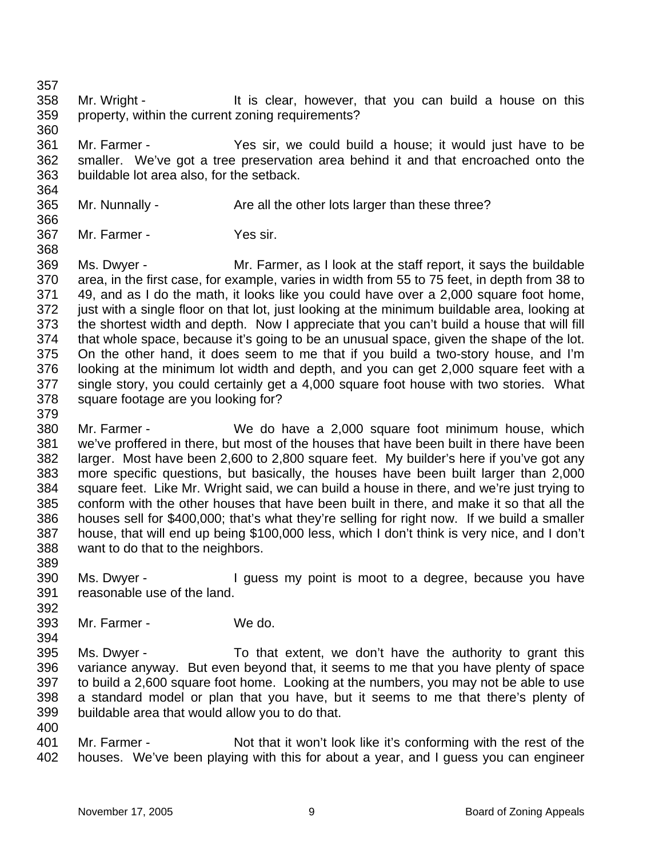- 358 359 Mr. Wright - It is clear, however, that you can build a house on this property, within the current zoning requirements?
- 360 361 362 363 Mr. Farmer - Yes sir, we could build a house; it would just have to be smaller. We've got a tree preservation area behind it and that encroached onto the buildable lot area also, for the setback.
- 364 365 Mr. Nunnally - Are all the other lots larger than these three?
- 366 367

Mr. Farmer - Yes sir.

- 368 369 370 371 372 373 374 375 376 377 378 Ms. Dwyer - Mr. Farmer, as I look at the staff report, it says the buildable area, in the first case, for example, varies in width from 55 to 75 feet, in depth from 38 to 49, and as I do the math, it looks like you could have over a 2,000 square foot home, just with a single floor on that lot, just looking at the minimum buildable area, looking at the shortest width and depth. Now I appreciate that you can't build a house that will fill that whole space, because it's going to be an unusual space, given the shape of the lot. On the other hand, it does seem to me that if you build a two-story house, and I'm looking at the minimum lot width and depth, and you can get 2,000 square feet with a single story, you could certainly get a 4,000 square foot house with two stories. What square footage are you looking for?
- 379 380 381 382 383 384 385 386 387 388 Mr. Farmer - We do have a 2,000 square foot minimum house, which we've proffered in there, but most of the houses that have been built in there have been larger. Most have been 2,600 to 2,800 square feet. My builder's here if you've got any more specific questions, but basically, the houses have been built larger than 2,000 square feet. Like Mr. Wright said, we can build a house in there, and we're just trying to conform with the other houses that have been built in there, and make it so that all the houses sell for \$400,000; that's what they're selling for right now. If we build a smaller house, that will end up being \$100,000 less, which I don't think is very nice, and I don't want to do that to the neighbors.
- 389

394

- 390 391 392 Ms. Dwyer - I guess my point is moot to a degree, because you have reasonable use of the land.
- 393 Mr. Farmer - We do.
- 395 396 397 398 399 400 Ms. Dwyer - To that extent, we don't have the authority to grant this variance anyway. But even beyond that, it seems to me that you have plenty of space to build a 2,600 square foot home. Looking at the numbers, you may not be able to use a standard model or plan that you have, but it seems to me that there's plenty of buildable area that would allow you to do that.
- 401 402 Mr. Farmer - Not that it won't look like it's conforming with the rest of the houses. We've been playing with this for about a year, and I guess you can engineer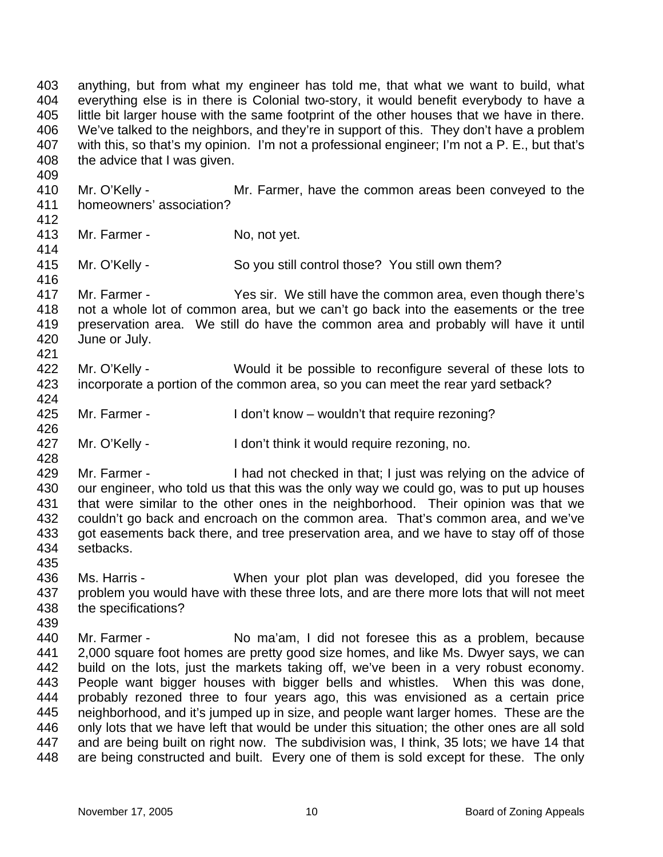403 404 405 406 407 408 409 410 411 412 413 414 415 416 417 418 419 420 421 422 423 424 425 426 427 428 429 430 431 432 433 434 435 436 437 438 439 440 441 442 443 444 445 446 447 448 anything, but from what my engineer has told me, that what we want to build, what everything else is in there is Colonial two-story, it would benefit everybody to have a little bit larger house with the same footprint of the other houses that we have in there. We've talked to the neighbors, and they're in support of this. They don't have a problem with this, so that's my opinion. I'm not a professional engineer; I'm not a P. E., but that's the advice that I was given. Mr. O'Kelly - **Mr. Farmer, have the common areas been conveyed to the** homeowners' association? Mr. Farmer - No, not yet. Mr. O'Kelly - So you still control those? You still own them? Mr. Farmer - Yes sir. We still have the common area, even though there's not a whole lot of common area, but we can't go back into the easements or the tree preservation area. We still do have the common area and probably will have it until June or July. Mr. O'Kelly - Would it be possible to reconfigure several of these lots to incorporate a portion of the common area, so you can meet the rear yard setback? Mr. Farmer - The Muslim Con't know – wouldn't that require rezoning? Mr. O'Kelly - I don't think it would require rezoning, no. Mr. Farmer - Thad not checked in that; I just was relying on the advice of our engineer, who told us that this was the only way we could go, was to put up houses that were similar to the other ones in the neighborhood. Their opinion was that we couldn't go back and encroach on the common area. That's common area, and we've got easements back there, and tree preservation area, and we have to stay off of those setbacks. Ms. Harris - When your plot plan was developed, did you foresee the problem you would have with these three lots, and are there more lots that will not meet the specifications? Mr. Farmer - No ma'am, I did not foresee this as a problem, because 2,000 square foot homes are pretty good size homes, and like Ms. Dwyer says, we can build on the lots, just the markets taking off, we've been in a very robust economy. People want bigger houses with bigger bells and whistles. When this was done, probably rezoned three to four years ago, this was envisioned as a certain price neighborhood, and it's jumped up in size, and people want larger homes. These are the only lots that we have left that would be under this situation; the other ones are all sold and are being built on right now. The subdivision was, I think, 35 lots; we have 14 that are being constructed and built. Every one of them is sold except for these. The only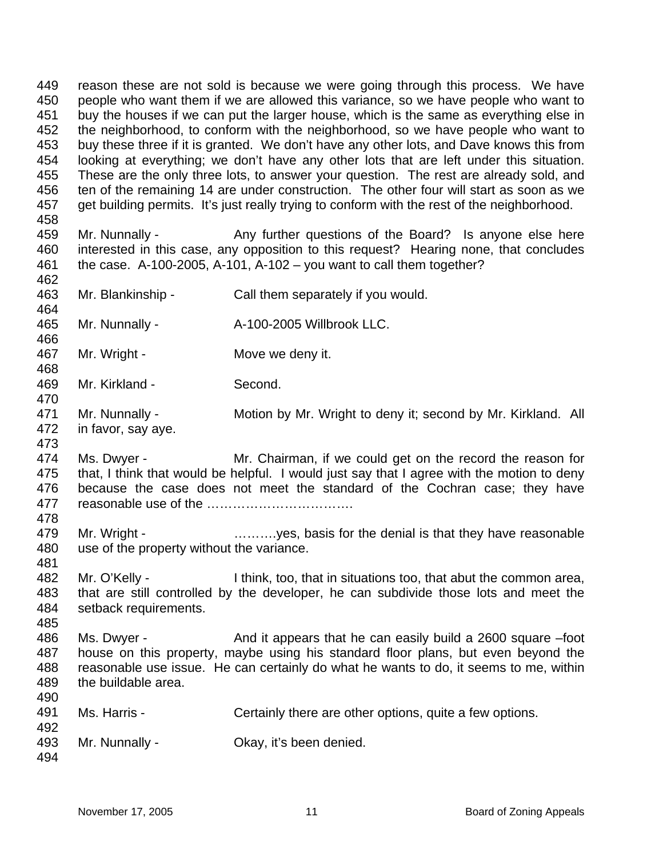449 450 451 452 453 454 455 456 457 458 459 460 461 462 463 464 465 466 467 468 469 470 471 472 473 474 475 476 477 478 479 480 481 482 483 484 485 486 487 488 489 490 491 492 493 494 reason these are not sold is because we were going through this process. We have people who want them if we are allowed this variance, so we have people who want to buy the houses if we can put the larger house, which is the same as everything else in the neighborhood, to conform with the neighborhood, so we have people who want to buy these three if it is granted. We don't have any other lots, and Dave knows this from looking at everything; we don't have any other lots that are left under this situation. These are the only three lots, to answer your question. The rest are already sold, and ten of the remaining 14 are under construction. The other four will start as soon as we get building permits. It's just really trying to conform with the rest of the neighborhood. Mr. Nunnally - Any further questions of the Board? Is anyone else here interested in this case, any opposition to this request? Hearing none, that concludes the case. A-100-2005, A-101, A-102  $-$  you want to call them together? Mr. Blankinship - Call them separately if you would. Mr. Nunnally - A-100-2005 Willbrook LLC. Mr. Wright - Move we deny it. Mr. Kirkland - Second. Mr. Nunnally - **Motion by Mr. Wright to deny it; second by Mr. Kirkland.** All in favor, say aye. Ms. Dwyer - The Mr. Chairman, if we could get on the record the reason for that, I think that would be helpful. I would just say that I agree with the motion to deny because the case does not meet the standard of the Cochran case; they have reasonable use of the ……………………………. Mr. Wright - **Example 20** ..........yes, basis for the denial is that they have reasonable use of the property without the variance. Mr. O'Kelly - I think, too, that in situations too, that abut the common area, that are still controlled by the developer, he can subdivide those lots and meet the setback requirements. Ms. Dwyer - And it appears that he can easily build a 2600 square –foot house on this property, maybe using his standard floor plans, but even beyond the reasonable use issue. He can certainly do what he wants to do, it seems to me, within the buildable area. Ms. Harris - Certainly there are other options, quite a few options. Mr. Nunnally - Ckay, it's been denied.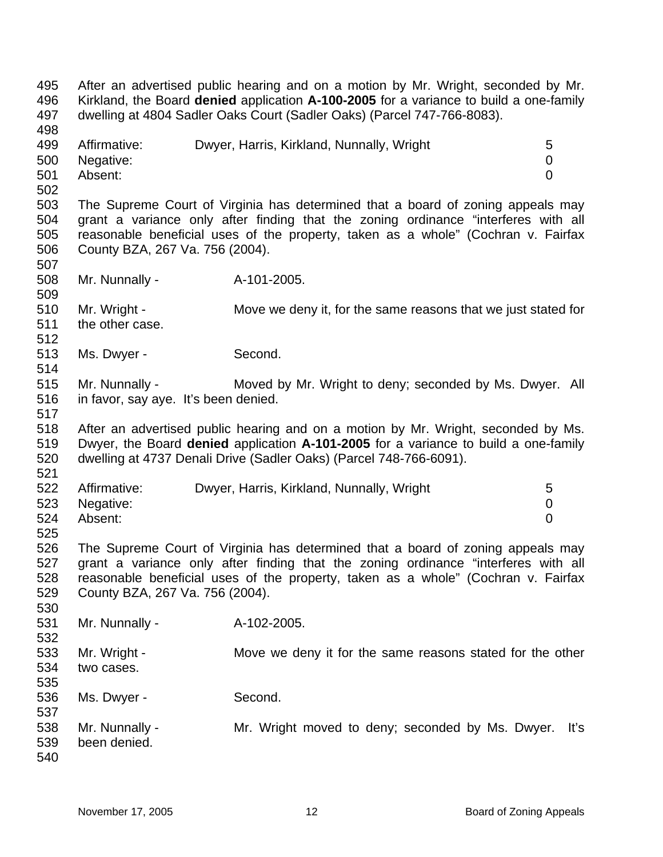495 496 497 498 499 500 501 502 503 504 505 506 507 508 509 510 511 512 513 514 515 516 517 518 519 520 521 522 523 524 525 526 527 528 529 530 531 532 533 534 535 536 537 538 539 540 After an advertised public hearing and on a motion by Mr. Wright, seconded by Mr. Kirkland, the Board **denied** application **A-100-2005** for a variance to build a one-family dwelling at 4804 Sadler Oaks Court (Sadler Oaks) (Parcel 747-766-8083). Affirmative: Dwyer, Harris, Kirkland, Nunnally, Wright 5 Negative: 0 Absent: 0 The Supreme Court of Virginia has determined that a board of zoning appeals may grant a variance only after finding that the zoning ordinance "interferes with all reasonable beneficial uses of the property, taken as a whole" (Cochran v. Fairfax County BZA, 267 Va. 756 (2004). Mr. Nunnally - A-101-2005. Mr. Wright - Move we deny it, for the same reasons that we just stated for the other case. Ms. Dwyer - Second. Mr. Nunnally - **Moved by Mr. Wright to deny**; seconded by Ms. Dwyer. All in favor, say aye. It's been denied. After an advertised public hearing and on a motion by Mr. Wright, seconded by Ms. Dwyer, the Board **denied** application **A-101-2005** for a variance to build a one-family dwelling at 4737 Denali Drive (Sadler Oaks) (Parcel 748-766-6091). Affirmative: Dwyer, Harris, Kirkland, Nunnally, Wright 5 Negative: 0 Absent: 0 The Supreme Court of Virginia has determined that a board of zoning appeals may grant a variance only after finding that the zoning ordinance "interferes with all reasonable beneficial uses of the property, taken as a whole" (Cochran v. Fairfax County BZA, 267 Va. 756 (2004). Mr. Nunnally - A-102-2005. Mr. Wright - Move we deny it for the same reasons stated for the other two cases. Ms. Dwyer - Second. Mr. Nunnally - The Mr. Wright moved to deny; seconded by Ms. Dwyer. It's been denied.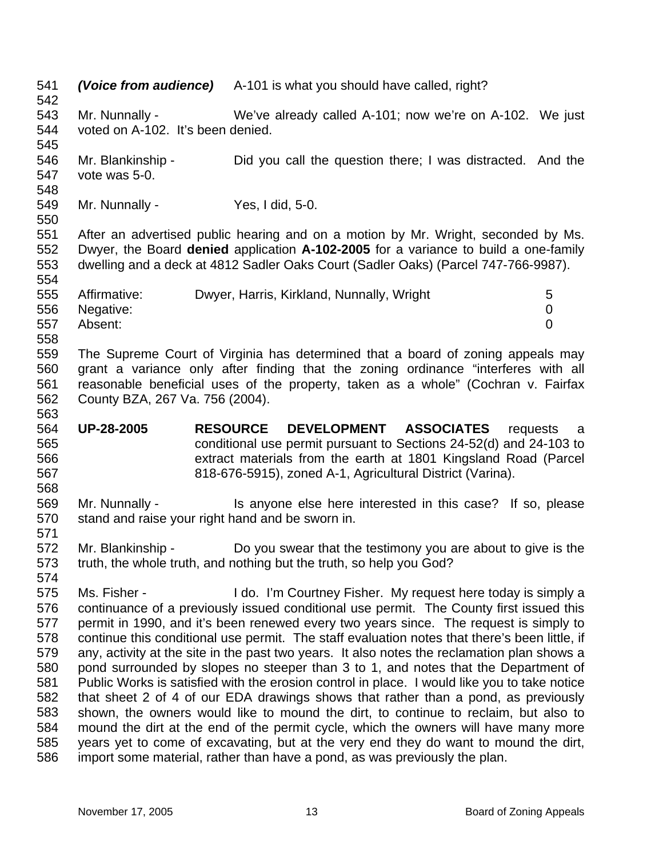| 541<br>542                                                                       |                                                                                                                                                                                                                                                                                                                                                                                                                                                                                                                                                                                                                                                                                                                                                                                                                                                                                                                                                                                                                                                                                                  | (Voice from audience) A-101 is what you should have called, right?                                                                                                                                                                                          |                          |
|----------------------------------------------------------------------------------|--------------------------------------------------------------------------------------------------------------------------------------------------------------------------------------------------------------------------------------------------------------------------------------------------------------------------------------------------------------------------------------------------------------------------------------------------------------------------------------------------------------------------------------------------------------------------------------------------------------------------------------------------------------------------------------------------------------------------------------------------------------------------------------------------------------------------------------------------------------------------------------------------------------------------------------------------------------------------------------------------------------------------------------------------------------------------------------------------|-------------------------------------------------------------------------------------------------------------------------------------------------------------------------------------------------------------------------------------------------------------|--------------------------|
| 543                                                                              | Mr. Nunnally -                                                                                                                                                                                                                                                                                                                                                                                                                                                                                                                                                                                                                                                                                                                                                                                                                                                                                                                                                                                                                                                                                   | We've already called A-101; now we're on A-102. We just                                                                                                                                                                                                     |                          |
| 544                                                                              | voted on A-102. It's been denied.                                                                                                                                                                                                                                                                                                                                                                                                                                                                                                                                                                                                                                                                                                                                                                                                                                                                                                                                                                                                                                                                |                                                                                                                                                                                                                                                             |                          |
| 545<br>546<br>547                                                                | Mr. Blankinship -<br>vote was 5-0.                                                                                                                                                                                                                                                                                                                                                                                                                                                                                                                                                                                                                                                                                                                                                                                                                                                                                                                                                                                                                                                               | Did you call the question there; I was distracted. And the                                                                                                                                                                                                  |                          |
| 548<br>549                                                                       | Mr. Nunnally -                                                                                                                                                                                                                                                                                                                                                                                                                                                                                                                                                                                                                                                                                                                                                                                                                                                                                                                                                                                                                                                                                   | Yes, I did, 5-0.                                                                                                                                                                                                                                            |                          |
| 550<br>551<br>552<br>553<br>554                                                  | After an advertised public hearing and on a motion by Mr. Wright, seconded by Ms.<br>Dwyer, the Board denied application A-102-2005 for a variance to build a one-family<br>dwelling and a deck at 4812 Sadler Oaks Court (Sadler Oaks) (Parcel 747-766-9987).                                                                                                                                                                                                                                                                                                                                                                                                                                                                                                                                                                                                                                                                                                                                                                                                                                   |                                                                                                                                                                                                                                                             |                          |
| 555<br>556<br>557                                                                | Affirmative:<br>Negative:<br>Absent:                                                                                                                                                                                                                                                                                                                                                                                                                                                                                                                                                                                                                                                                                                                                                                                                                                                                                                                                                                                                                                                             | Dwyer, Harris, Kirkland, Nunnally, Wright                                                                                                                                                                                                                   | 5<br>0<br>$\overline{0}$ |
| 558<br>559<br>560<br>561<br>562<br>563                                           | The Supreme Court of Virginia has determined that a board of zoning appeals may<br>grant a variance only after finding that the zoning ordinance "interferes with all<br>reasonable beneficial uses of the property, taken as a whole" (Cochran v. Fairfax<br>County BZA, 267 Va. 756 (2004).                                                                                                                                                                                                                                                                                                                                                                                                                                                                                                                                                                                                                                                                                                                                                                                                    |                                                                                                                                                                                                                                                             |                          |
| 564<br>565<br>566<br>567<br>568                                                  | <b>UP-28-2005</b>                                                                                                                                                                                                                                                                                                                                                                                                                                                                                                                                                                                                                                                                                                                                                                                                                                                                                                                                                                                                                                                                                | <b>RESOURCE</b><br>DEVELOPMENT ASSOCIATES<br>requests<br>conditional use permit pursuant to Sections 24-52(d) and 24-103 to<br>extract materials from the earth at 1801 Kingsland Road (Parcel<br>818-676-5915), zoned A-1, Agricultural District (Varina). | - a                      |
| 569<br>570<br>571                                                                | Mr. Nunnally -<br>stand and raise your right hand and be sworn in.                                                                                                                                                                                                                                                                                                                                                                                                                                                                                                                                                                                                                                                                                                                                                                                                                                                                                                                                                                                                                               | Is anyone else here interested in this case? If so, please                                                                                                                                                                                                  |                          |
| 572<br>573<br>574                                                                | Mr. Blankinship -<br>Do you swear that the testimony you are about to give is the<br>truth, the whole truth, and nothing but the truth, so help you God?                                                                                                                                                                                                                                                                                                                                                                                                                                                                                                                                                                                                                                                                                                                                                                                                                                                                                                                                         |                                                                                                                                                                                                                                                             |                          |
| 575<br>576<br>577<br>578<br>579<br>580<br>581<br>582<br>583<br>584<br>585<br>586 | I do. I'm Courtney Fisher. My request here today is simply a<br>Ms. Fisher -<br>continuance of a previously issued conditional use permit. The County first issued this<br>permit in 1990, and it's been renewed every two years since. The request is simply to<br>continue this conditional use permit. The staff evaluation notes that there's been little, if<br>any, activity at the site in the past two years. It also notes the reclamation plan shows a<br>pond surrounded by slopes no steeper than 3 to 1, and notes that the Department of<br>Public Works is satisfied with the erosion control in place. I would like you to take notice<br>that sheet 2 of 4 of our EDA drawings shows that rather than a pond, as previously<br>shown, the owners would like to mound the dirt, to continue to reclaim, but also to<br>mound the dirt at the end of the permit cycle, which the owners will have many more<br>years yet to come of excavating, but at the very end they do want to mound the dirt,<br>import some material, rather than have a pond, as was previously the plan. |                                                                                                                                                                                                                                                             |                          |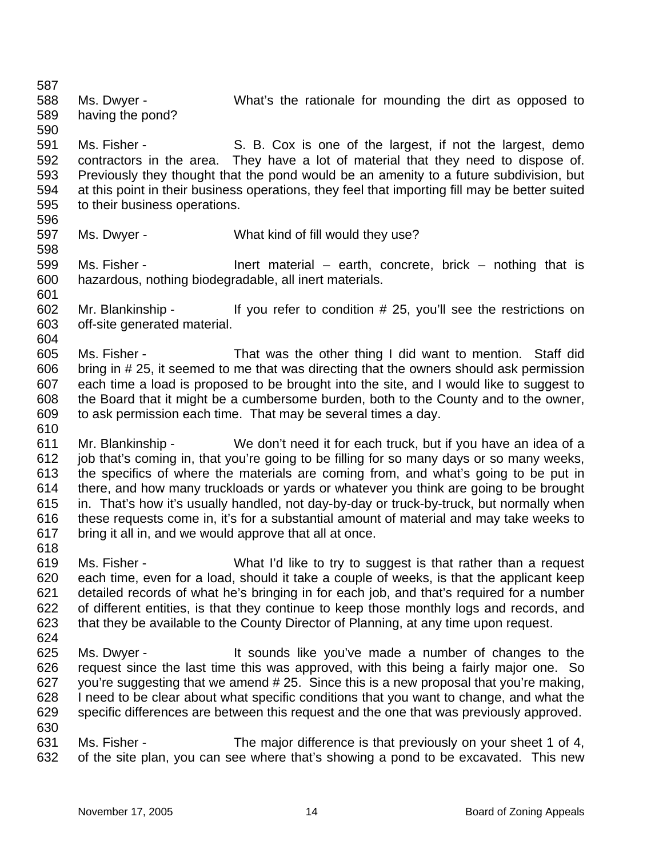587 588 589 590 591 Ms. Dwyer - What's the rationale for mounding the dirt as opposed to having the pond? Ms. Fisher - S. B. Cox is one of the largest, if not the largest, demo

592 593 594 595 contractors in the area. They have a lot of material that they need to dispose of. Previously they thought that the pond would be an amenity to a future subdivision, but at this point in their business operations, they feel that importing fill may be better suited to their business operations.

596 597

598

Ms. Dwyer - What kind of fill would they use?

599 600 601 Ms. Fisher - **Inert material – earth, concrete, brick** – nothing that is hazardous, nothing biodegradable, all inert materials.

- 602 603 604 Mr. Blankinship - If you refer to condition # 25, you'll see the restrictions on off-site generated material.
- 605 606 607 608 609 610 Ms. Fisher - That was the other thing I did want to mention. Staff did bring in # 25, it seemed to me that was directing that the owners should ask permission each time a load is proposed to be brought into the site, and I would like to suggest to the Board that it might be a cumbersome burden, both to the County and to the owner, to ask permission each time. That may be several times a day.
- 611 612 613 614 615 616 617 Mr. Blankinship - We don't need it for each truck, but if you have an idea of a job that's coming in, that you're going to be filling for so many days or so many weeks, the specifics of where the materials are coming from, and what's going to be put in there, and how many truckloads or yards or whatever you think are going to be brought in. That's how it's usually handled, not day-by-day or truck-by-truck, but normally when these requests come in, it's for a substantial amount of material and may take weeks to bring it all in, and we would approve that all at once.
- 618

619 620 621 622 623 624 Ms. Fisher - What I'd like to try to suggest is that rather than a request each time, even for a load, should it take a couple of weeks, is that the applicant keep detailed records of what he's bringing in for each job, and that's required for a number of different entities, is that they continue to keep those monthly logs and records, and that they be available to the County Director of Planning, at any time upon request.

- 625 626 627 628 629 630 Ms. Dwyer - It sounds like you've made a number of changes to the request since the last time this was approved, with this being a fairly major one. So you're suggesting that we amend # 25. Since this is a new proposal that you're making, I need to be clear about what specific conditions that you want to change, and what the specific differences are between this request and the one that was previously approved.
- 631 632 Ms. Fisher - The major difference is that previously on your sheet 1 of 4, of the site plan, you can see where that's showing a pond to be excavated. This new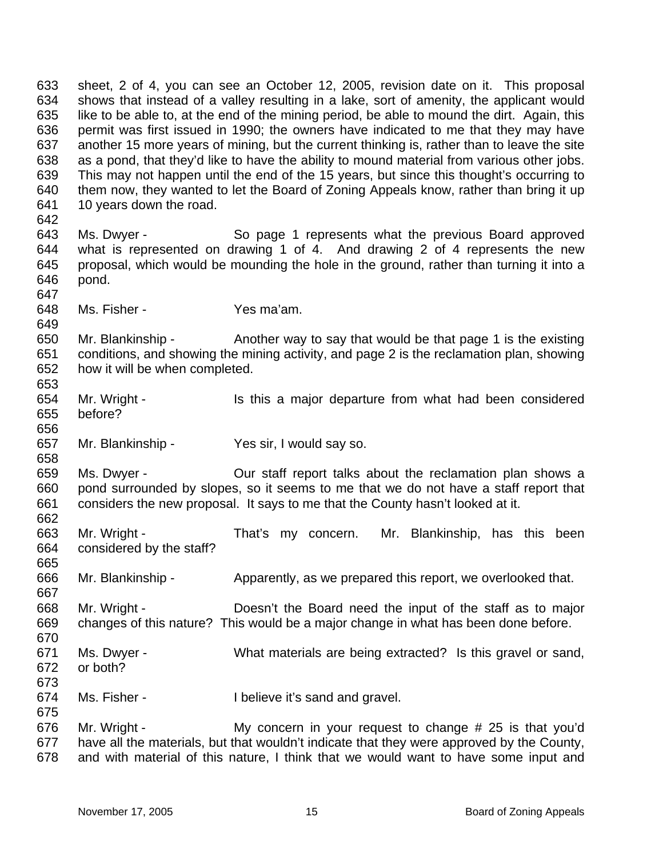633 634 635 636 637 638 639 640 641 642 643 644 645 646 647 648 649 650 651 652 653 654 655 656 657 658 659 660 661 662 663 664 665 666 667 668 669 670 671 672 673 674 675 676 677 678 sheet, 2 of 4, you can see an October 12, 2005, revision date on it. This proposal shows that instead of a valley resulting in a lake, sort of amenity, the applicant would like to be able to, at the end of the mining period, be able to mound the dirt. Again, this permit was first issued in 1990; the owners have indicated to me that they may have another 15 more years of mining, but the current thinking is, rather than to leave the site as a pond, that they'd like to have the ability to mound material from various other jobs. This may not happen until the end of the 15 years, but since this thought's occurring to them now, they wanted to let the Board of Zoning Appeals know, rather than bring it up 10 years down the road. Ms. Dwyer - So page 1 represents what the previous Board approved what is represented on drawing 1 of 4. And drawing 2 of 4 represents the new proposal, which would be mounding the hole in the ground, rather than turning it into a pond. Ms. Fisher - Yes ma'am. Mr. Blankinship - Another way to say that would be that page 1 is the existing conditions, and showing the mining activity, and page 2 is the reclamation plan, showing how it will be when completed. Mr. Wright - Is this a major departure from what had been considered before? Mr. Blankinship - Yes sir, I would say so. Ms. Dwyer - Our staff report talks about the reclamation plan shows a pond surrounded by slopes, so it seems to me that we do not have a staff report that considers the new proposal. It says to me that the County hasn't looked at it. Mr. Wright - That's my concern. Mr. Blankinship, has this been considered by the staff? Mr. Blankinship - Apparently, as we prepared this report, we overlooked that. Mr. Wright - Doesn't the Board need the input of the staff as to major changes of this nature? This would be a major change in what has been done before. Ms. Dwyer - **What materials are being extracted?** Is this gravel or sand, or both? Ms. Fisher - Thelieve it's sand and gravel. Mr. Wright - My concern in your request to change # 25 is that you'd have all the materials, but that wouldn't indicate that they were approved by the County, and with material of this nature, I think that we would want to have some input and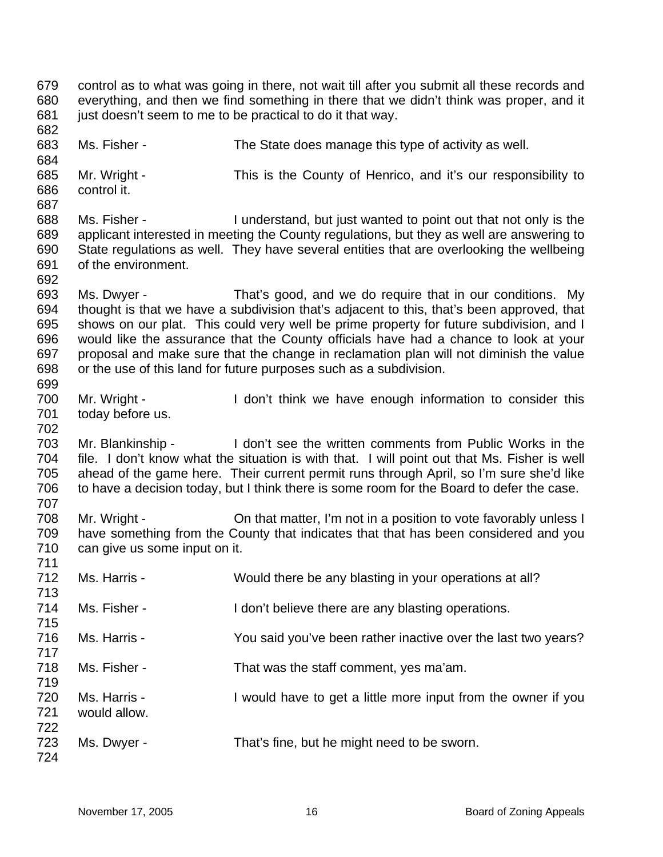679 680 681 682 683 684 685 686 687 688 689 690 691 692 693 694 695 696 697 698 699 700 701 702 703 704 705 706 707 708 709 710 711 712 713 714 715 716 717 718 719 720 721 722 723 724 control as to what was going in there, not wait till after you submit all these records and everything, and then we find something in there that we didn't think was proper, and it just doesn't seem to me to be practical to do it that way. Ms. Fisher - The State does manage this type of activity as well. Mr. Wright - This is the County of Henrico, and it's our responsibility to control it. Ms. Fisher - I understand, but just wanted to point out that not only is the applicant interested in meeting the County regulations, but they as well are answering to State regulations as well. They have several entities that are overlooking the wellbeing of the environment. Ms. Dwyer - That's good, and we do require that in our conditions. My thought is that we have a subdivision that's adjacent to this, that's been approved, that shows on our plat. This could very well be prime property for future subdivision, and I would like the assurance that the County officials have had a chance to look at your proposal and make sure that the change in reclamation plan will not diminish the value or the use of this land for future purposes such as a subdivision. Mr. Wright - I don't think we have enough information to consider this today before us. Mr. Blankinship - I don't see the written comments from Public Works in the file. I don't know what the situation is with that. I will point out that Ms. Fisher is well ahead of the game here. Their current permit runs through April, so I'm sure she'd like to have a decision today, but I think there is some room for the Board to defer the case. Mr. Wright - Christen atter, I'm not in a position to vote favorably unless I have something from the County that indicates that that has been considered and you can give us some input on it. Ms. Harris - Would there be any blasting in your operations at all? Ms. Fisher - The I don't believe there are any blasting operations. Ms. Harris - You said you've been rather inactive over the last two years? Ms. Fisher - That was the staff comment, yes ma'am. Ms. Harris - I would have to get a little more input from the owner if you would allow. Ms. Dwyer - That's fine, but he might need to be sworn.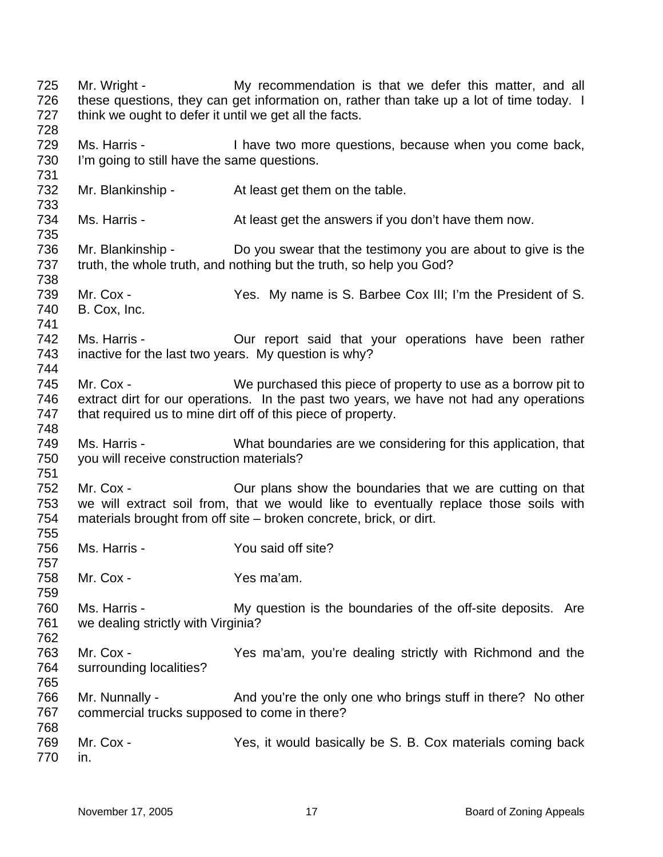725 726 727 728 729 730 731 732 733 734 735 736 737 738 739 740 741 742 743 744 745 746 747 748 749 750 751 752 753 754 755 756 757 758 759 760 761 762 763 764 765 766 767 768 769 770 Mr. Wright - The My recommendation is that we defer this matter, and all these questions, they can get information on, rather than take up a lot of time today. I think we ought to defer it until we get all the facts. Ms. Harris - Thave two more questions, because when you come back, I'm going to still have the same questions. Mr. Blankinship - The At least get them on the table. Ms. Harris - At least get the answers if you don't have them now. Mr. Blankinship - Do you swear that the testimony you are about to give is the truth, the whole truth, and nothing but the truth, so help you God? Mr. Cox - Yes. My name is S. Barbee Cox III; I'm the President of S. B. Cox, Inc. Ms. Harris - **CULT CONTER CONTER 19** Our report said that your operations have been rather inactive for the last two years. My question is why? Mr. Cox - We purchased this piece of property to use as a borrow pit to extract dirt for our operations. In the past two years, we have not had any operations that required us to mine dirt off of this piece of property. Ms. Harris - What boundaries are we considering for this application, that you will receive construction materials? Mr. Cox - Cur plans show the boundaries that we are cutting on that we will extract soil from, that we would like to eventually replace those soils with materials brought from off site – broken concrete, brick, or dirt. Ms. Harris - The You said off site? Mr. Cox - Yes ma'am. Ms. Harris - My question is the boundaries of the off-site deposits. Are we dealing strictly with Virginia? Mr. Cox - Yes ma'am, you're dealing strictly with Richmond and the surrounding localities? Mr. Nunnally - And you're the only one who brings stuff in there? No other commercial trucks supposed to come in there? Mr. Cox - Yes, it would basically be S. B. Cox materials coming back in.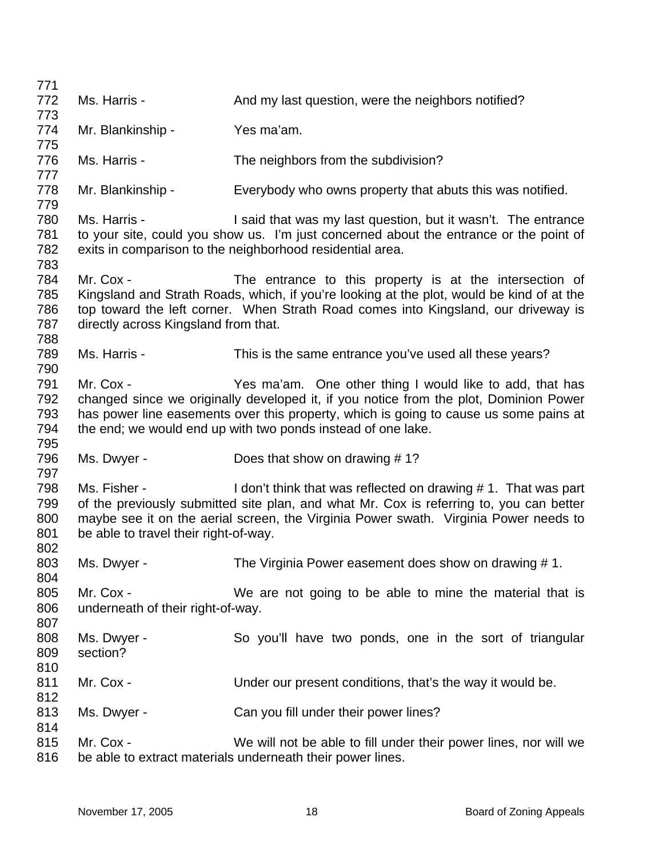| 771        |                                       |                                                                                                                                                         |
|------------|---------------------------------------|---------------------------------------------------------------------------------------------------------------------------------------------------------|
| 772        | Ms. Harris -                          | And my last question, were the neighbors notified?                                                                                                      |
| 773        |                                       |                                                                                                                                                         |
| 774        | Mr. Blankinship -                     | Yes ma'am.                                                                                                                                              |
| 775        |                                       |                                                                                                                                                         |
| 776        | Ms. Harris -                          | The neighbors from the subdivision?                                                                                                                     |
| 777        |                                       |                                                                                                                                                         |
| 778        | Mr. Blankinship -                     | Everybody who owns property that abuts this was notified.                                                                                               |
| 779<br>780 | Ms. Harris -                          |                                                                                                                                                         |
| 781        |                                       | I said that was my last question, but it wasn't. The entrance<br>to your site, could you show us. I'm just concerned about the entrance or the point of |
| 782        |                                       | exits in comparison to the neighborhood residential area.                                                                                               |
| 783        |                                       |                                                                                                                                                         |
| 784        | Mr. Cox -                             | The entrance to this property is at the intersection of                                                                                                 |
| 785        |                                       | Kingsland and Strath Roads, which, if you're looking at the plot, would be kind of at the                                                               |
| 786        |                                       | top toward the left corner. When Strath Road comes into Kingsland, our driveway is                                                                      |
| 787        | directly across Kingsland from that.  |                                                                                                                                                         |
| 788        |                                       |                                                                                                                                                         |
| 789        | Ms. Harris -                          | This is the same entrance you've used all these years?                                                                                                  |
| 790        |                                       |                                                                                                                                                         |
| 791        | Mr. Cox -                             | Yes ma'am. One other thing I would like to add, that has                                                                                                |
| 792        |                                       | changed since we originally developed it, if you notice from the plot, Dominion Power                                                                   |
| 793        |                                       | has power line easements over this property, which is going to cause us some pains at                                                                   |
| 794        |                                       | the end; we would end up with two ponds instead of one lake.                                                                                            |
| 795        |                                       |                                                                                                                                                         |
| 796<br>797 | Ms. Dwyer -                           | Does that show on drawing #1?                                                                                                                           |
| 798        | Ms. Fisher -                          | I don't think that was reflected on drawing #1. That was part                                                                                           |
| 799        |                                       | of the previously submitted site plan, and what Mr. Cox is referring to, you can better                                                                 |
| 800        |                                       | maybe see it on the aerial screen, the Virginia Power swath. Virginia Power needs to                                                                    |
| 801        | be able to travel their right-of-way. |                                                                                                                                                         |
| 802        |                                       |                                                                                                                                                         |
| 803        | Ms. Dwyer -                           | The Virginia Power easement does show on drawing #1.                                                                                                    |
| 804        |                                       |                                                                                                                                                         |
| 805        | Mr. Cox -                             | We are not going to be able to mine the material that is                                                                                                |
| 806        | underneath of their right-of-way.     |                                                                                                                                                         |
| 807        |                                       |                                                                                                                                                         |
| 808        | Ms. Dwyer -                           | So you'll have two ponds, one in the sort of triangular                                                                                                 |
| 809        | section?                              |                                                                                                                                                         |
| 810        |                                       |                                                                                                                                                         |
| 811        | Mr. Cox -                             | Under our present conditions, that's the way it would be.                                                                                               |
| 812        |                                       |                                                                                                                                                         |
| 813        | Ms. Dwyer -                           | Can you fill under their power lines?                                                                                                                   |
| 814        |                                       |                                                                                                                                                         |
| 815<br>816 | Mr. Cox -                             | We will not be able to fill under their power lines, nor will we<br>be able to extract materials underneath their power lines.                          |
|            |                                       |                                                                                                                                                         |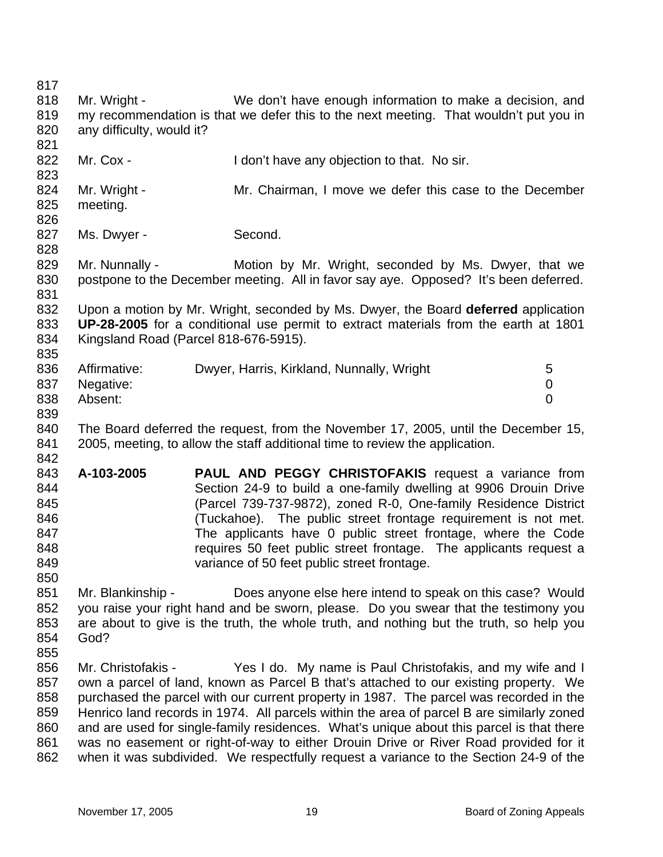817 818 819 820 821 822 823 824 825 826 827 828 829 830 831 832 833 834 835 836 837 838 839 840 841 842 843 844 845 846 847 848 849 850 851 852 853 854 855 856 857 858 859 860 861 Mr. Wright - We don't have enough information to make a decision, and my recommendation is that we defer this to the next meeting. That wouldn't put you in any difficulty, would it? Mr. Cox - I don't have any objection to that. No sir. Mr. Wright - The Mr. Chairman, I move we defer this case to the December meeting. Ms. Dwyer - Second. Mr. Nunnally - **Motion by Mr. Wright, seconded by Ms. Dwyer, that we** postpone to the December meeting. All in favor say aye. Opposed? It's been deferred. Upon a motion by Mr. Wright, seconded by Ms. Dwyer, the Board **deferred** application **UP-28-2005** for a conditional use permit to extract materials from the earth at 1801 Kingsland Road (Parcel 818-676-5915). Affirmative: Dwyer, Harris, Kirkland, Nunnally, Wright 5 Negative: 0 Absent: 0 The Board deferred the request, from the November 17, 2005, until the December 15, 2005, meeting, to allow the staff additional time to review the application. **A-103-2005 PAUL AND PEGGY CHRISTOFAKIS** request a variance from Section 24-9 to build a one-family dwelling at 9906 Drouin Drive (Parcel 739-737-9872), zoned R-0, One-family Residence District (Tuckahoe). The public street frontage requirement is not met. The applicants have 0 public street frontage, where the Code requires 50 feet public street frontage. The applicants request a variance of 50 feet public street frontage. Mr. Blankinship - Does anyone else here intend to speak on this case? Would you raise your right hand and be sworn, please. Do you swear that the testimony you are about to give is the truth, the whole truth, and nothing but the truth, so help you God? Mr. Christofakis - Yes I do. My name is Paul Christofakis, and my wife and I own a parcel of land, known as Parcel B that's attached to our existing property. We purchased the parcel with our current property in 1987. The parcel was recorded in the Henrico land records in 1974. All parcels within the area of parcel B are similarly zoned and are used for single-family residences. What's unique about this parcel is that there was no easement or right-of-way to either Drouin Drive or River Road provided for it

862 when it was subdivided. We respectfully request a variance to the Section 24-9 of the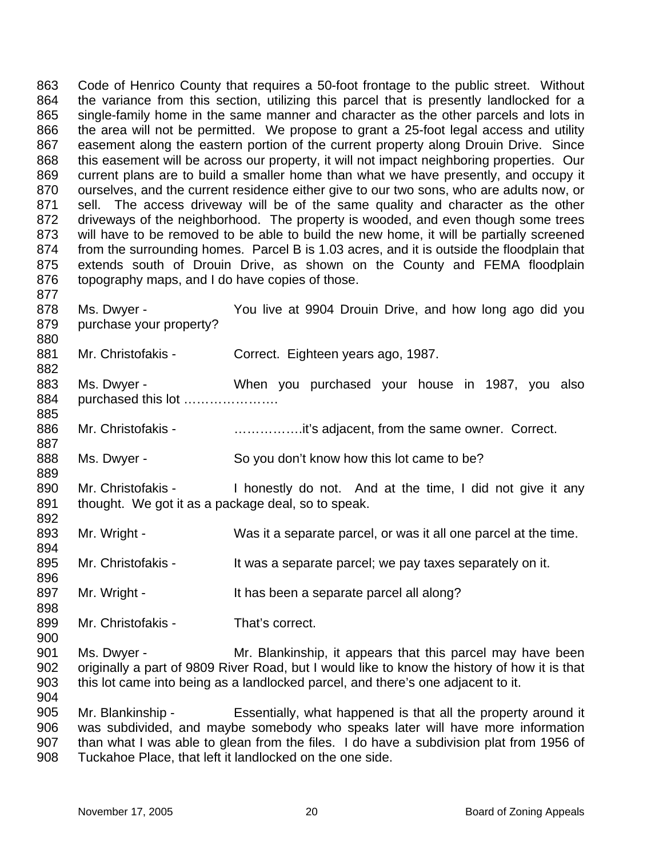863 864 865 866 867 868 869 870 871 872 873 874 875 876 877 Code of Henrico County that requires a 50-foot frontage to the public street. Without the variance from this section, utilizing this parcel that is presently landlocked for a single-family home in the same manner and character as the other parcels and lots in the area will not be permitted. We propose to grant a 25-foot legal access and utility easement along the eastern portion of the current property along Drouin Drive. Since this easement will be across our property, it will not impact neighboring properties. Our current plans are to build a smaller home than what we have presently, and occupy it ourselves, and the current residence either give to our two sons, who are adults now, or sell. The access driveway will be of the same quality and character as the other driveways of the neighborhood. The property is wooded, and even though some trees will have to be removed to be able to build the new home, it will be partially screened from the surrounding homes. Parcel B is 1.03 acres, and it is outside the floodplain that extends south of Drouin Drive, as shown on the County and FEMA floodplain topography maps, and I do have copies of those.

878 879 Ms. Dwyer - You live at 9904 Drouin Drive, and how long ago did you purchase your property?

881 882 Mr. Christofakis - Correct. Eighteen years ago, 1987.

883 884 885 Ms. Dwyer - When you purchased your house in 1987, you also purchased this lot ………………….

886 Mr. Christofakis - ………………………………………it's adjacent, from the same owner. Correct.

888 Ms. Dwyer - So you don't know how this lot came to be?

890 891 892 Mr. Christofakis - I honestly do not. And at the time, I did not give it any thought. We got it as a package deal, so to speak.

893 894 Mr. Wright - Was it a separate parcel, or was it all one parcel at the time.

895 896 Mr. Christofakis - It was a separate parcel; we pay taxes separately on it.

897 Mr. Wright - It has been a separate parcel all along?

899 Mr. Christofakis - That's correct.

901 902 903 904 Ms. Dwyer - Mr. Blankinship, it appears that this parcel may have been originally a part of 9809 River Road, but I would like to know the history of how it is that this lot came into being as a landlocked parcel, and there's one adjacent to it.

905 906 907 908 Mr. Blankinship - Essentially, what happened is that all the property around it was subdivided, and maybe somebody who speaks later will have more information than what I was able to glean from the files. I do have a subdivision plat from 1956 of Tuckahoe Place, that left it landlocked on the one side.

880

887

889

898

900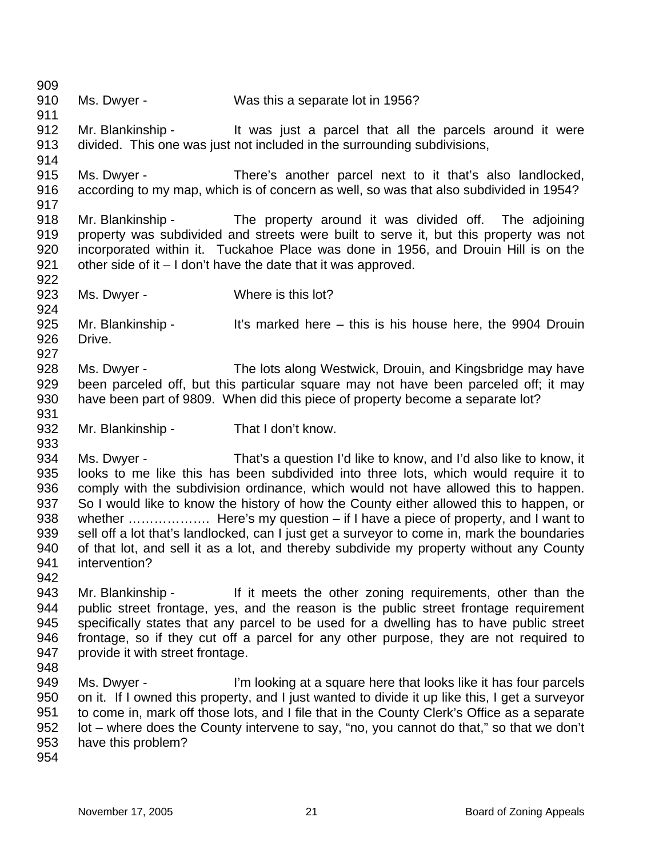909 910 911 912 913 914 915 916 917 918 919 920 921 922 923 924 925 926 927 928 929 930 931 932 933 934 935 936 937 938 939 940 941 942 943 944 945 946 947 948 949 950 951 952 953 954 Ms. Dwyer - Was this a separate lot in 1956? Mr. Blankinship - The Music is a parcel that all the parcels around it were divided. This one was just not included in the surrounding subdivisions, Ms. Dwyer - There's another parcel next to it that's also landlocked, according to my map, which is of concern as well, so was that also subdivided in 1954? Mr. Blankinship - The property around it was divided off. The adjoining property was subdivided and streets were built to serve it, but this property was not incorporated within it. Tuckahoe Place was done in 1956, and Drouin Hill is on the other side of it – I don't have the date that it was approved. Ms. Dwyer - Where is this lot? Mr. Blankinship - It's marked here – this is his house here, the 9904 Drouin Drive. Ms. Dwyer - The lots along Westwick, Drouin, and Kingsbridge may have been parceled off, but this particular square may not have been parceled off; it may have been part of 9809. When did this piece of property become a separate lot? Mr. Blankinship - That I don't know. Ms. Dwyer - That's a question I'd like to know, and I'd also like to know, it looks to me like this has been subdivided into three lots, which would require it to comply with the subdivision ordinance, which would not have allowed this to happen. So I would like to know the history of how the County either allowed this to happen, or whether ……………….. Here's my question – if I have a piece of property, and I want to sell off a lot that's landlocked, can I just get a surveyor to come in, mark the boundaries of that lot, and sell it as a lot, and thereby subdivide my property without any County intervention? Mr. Blankinship - If it meets the other zoning requirements, other than the public street frontage, yes, and the reason is the public street frontage requirement specifically states that any parcel to be used for a dwelling has to have public street frontage, so if they cut off a parcel for any other purpose, they are not required to provide it with street frontage. Ms. Dwyer - I'm looking at a square here that looks like it has four parcels on it. If I owned this property, and I just wanted to divide it up like this, I get a surveyor to come in, mark off those lots, and I file that in the County Clerk's Office as a separate lot – where does the County intervene to say, "no, you cannot do that," so that we don't have this problem?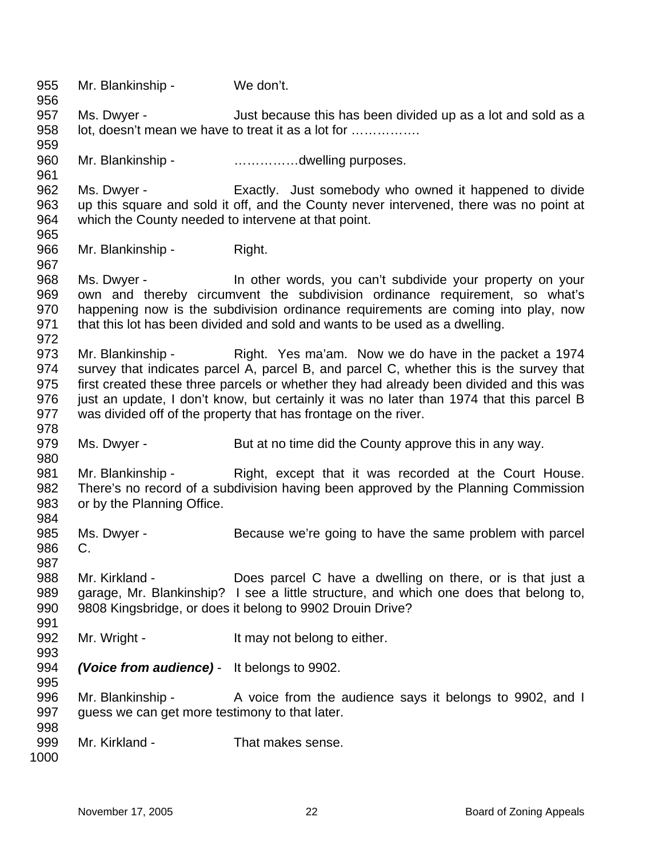955 956 957 958 959 960 961 962 963 964 965 966 967 968 969 970 971 972 973 974 975 976 977 978 979 980 981 982 983 984 985 986 987 988 989 990 991 992 993 994 995 996 997 998 999 1000 Mr. Blankinship - We don't. Ms. Dwyer - Just because this has been divided up as a lot and sold as a lot, doesn't mean we have to treat it as a lot for ……………. Mr. Blankinship - matches matches all models are more set of the Mr. Blankinship -Ms. Dwyer - Exactly. Just somebody who owned it happened to divide up this square and sold it off, and the County never intervened, there was no point at which the County needed to intervene at that point. Mr. Blankinship - Right. Ms. Dwyer - In other words, you can't subdivide your property on your own and thereby circumvent the subdivision ordinance requirement, so what's happening now is the subdivision ordinance requirements are coming into play, now that this lot has been divided and sold and wants to be used as a dwelling. Mr. Blankinship - Right. Yes ma'am. Now we do have in the packet a 1974 survey that indicates parcel A, parcel B, and parcel C, whether this is the survey that first created these three parcels or whether they had already been divided and this was just an update, I don't know, but certainly it was no later than 1974 that this parcel B was divided off of the property that has frontage on the river. Ms. Dwyer - But at no time did the County approve this in any way. Mr. Blankinship - Right, except that it was recorded at the Court House. There's no record of a subdivision having been approved by the Planning Commission or by the Planning Office. Ms. Dwyer - Because we're going to have the same problem with parcel C. Mr. Kirkland - **Does parcel C** have a dwelling on there, or is that just a garage, Mr. Blankinship? I see a little structure, and which one does that belong to, 9808 Kingsbridge, or does it belong to 9902 Drouin Drive? Mr. Wright - It may not belong to either. *(Voice from audience)* - It belongs to 9902. Mr. Blankinship - A voice from the audience says it belongs to 9902, and I guess we can get more testimony to that later. Mr. Kirkland - That makes sense.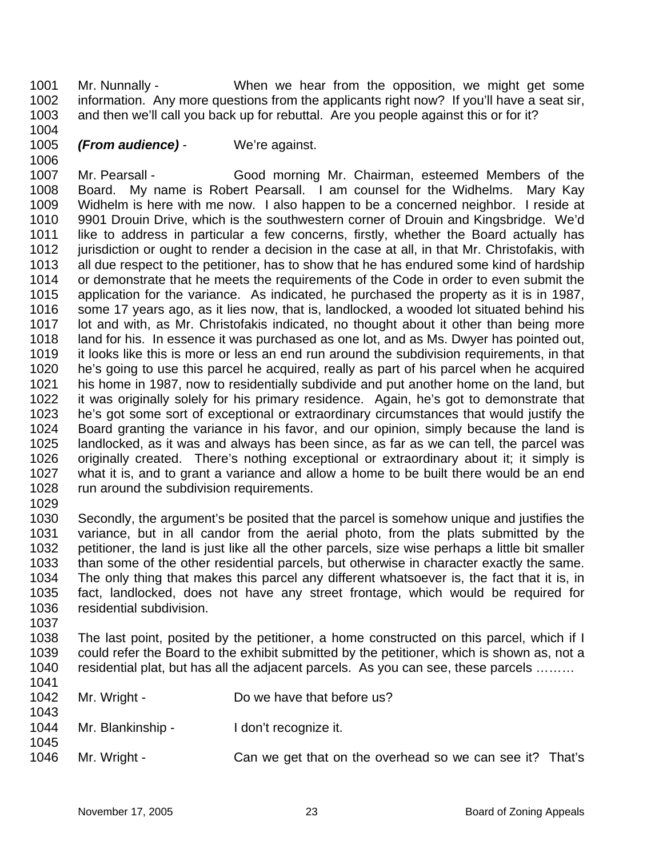1001 1002 1003 1004 Mr. Nunnally - When we hear from the opposition, we might get some information. Any more questions from the applicants right now? If you'll have a seat sir, and then we'll call you back up for rebuttal. Are you people against this or for it?

## 1005 *(From audience)* - We're against.

1006 1007 1008 1009 1010 1011 1012 1013 1014 1015 1016 1017 1018 1019 1020 1021 1022 1023 1024 1025 1026 1027 1028 Mr. Pearsall - Good morning Mr. Chairman, esteemed Members of the Board. My name is Robert Pearsall. I am counsel for the Widhelms. Mary Kay Widhelm is here with me now. I also happen to be a concerned neighbor. I reside at 9901 Drouin Drive, which is the southwestern corner of Drouin and Kingsbridge. We'd like to address in particular a few concerns, firstly, whether the Board actually has jurisdiction or ought to render a decision in the case at all, in that Mr. Christofakis, with all due respect to the petitioner, has to show that he has endured some kind of hardship or demonstrate that he meets the requirements of the Code in order to even submit the application for the variance. As indicated, he purchased the property as it is in 1987, some 17 years ago, as it lies now, that is, landlocked, a wooded lot situated behind his lot and with, as Mr. Christofakis indicated, no thought about it other than being more land for his. In essence it was purchased as one lot, and as Ms. Dwyer has pointed out, it looks like this is more or less an end run around the subdivision requirements, in that he's going to use this parcel he acquired, really as part of his parcel when he acquired his home in 1987, now to residentially subdivide and put another home on the land, but it was originally solely for his primary residence. Again, he's got to demonstrate that he's got some sort of exceptional or extraordinary circumstances that would justify the Board granting the variance in his favor, and our opinion, simply because the land is landlocked, as it was and always has been since, as far as we can tell, the parcel was originally created. There's nothing exceptional or extraordinary about it; it simply is what it is, and to grant a variance and allow a home to be built there would be an end run around the subdivision requirements.

1029

1030 1031 1032 1033 1034 1035 1036 Secondly, the argument's be posited that the parcel is somehow unique and justifies the variance, but in all candor from the aerial photo, from the plats submitted by the petitioner, the land is just like all the other parcels, size wise perhaps a little bit smaller than some of the other residential parcels, but otherwise in character exactly the same. The only thing that makes this parcel any different whatsoever is, the fact that it is, in fact, landlocked, does not have any street frontage, which would be required for residential subdivision.

1037

1038 1039 1040  $1011$ The last point, posited by the petitioner, a home constructed on this parcel, which if I could refer the Board to the exhibit submitted by the petitioner, which is shown as, not a residential plat, but has all the adjacent parcels. As you can see, these parcels ………

| 1 U T I |                   |                                                          |
|---------|-------------------|----------------------------------------------------------|
| 1042    | Mr. Wright -      | Do we have that before us?                               |
| 1043    |                   |                                                          |
| 1044    | Mr. Blankinship - | I don't recognize it.                                    |
| 1045    |                   |                                                          |
| 1046    | Mr. Wright -      | Can we get that on the overhead so we can see it? That's |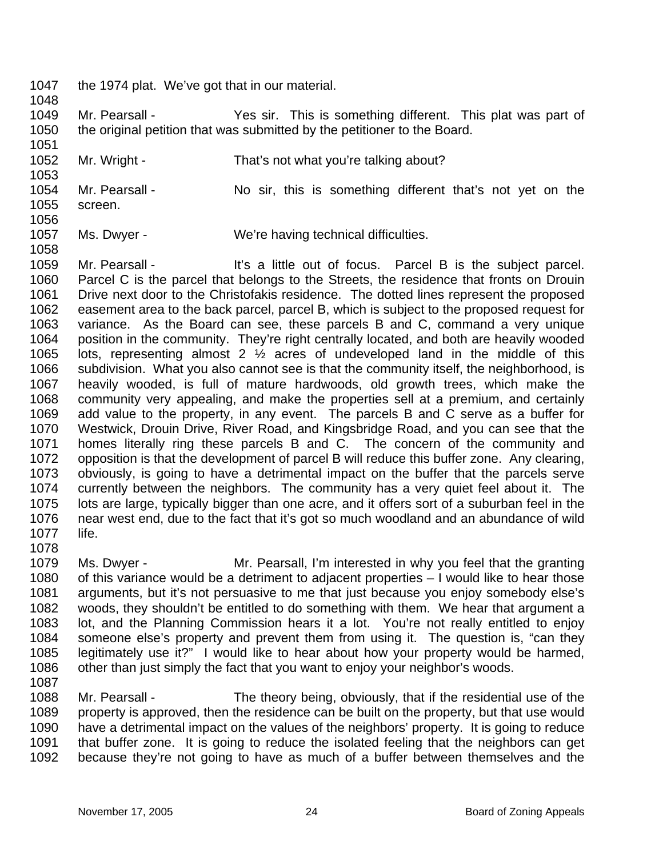- 1047 the 1974 plat. We've got that in our material.
- 1049 1050 Mr. Pearsall - This is something different. This plat was part of the original petition that was submitted by the petitioner to the Board.
- 1051 1052 Mr. Wright - That's not what you're talking about?
	- 1053 1054 1055 Mr. Pearsall - No sir, this is something different that's not yet on the screen.
	- 1056

1048

- 1057 Ms. Dwyer - We're having technical difficulties.
- 1059 1060 1061 1062 1063 1064 1065 1066 1067 1068 1069 1070 1071 1072 1073 1074 1075 1076 1077 Mr. Pearsall - It's a little out of focus. Parcel B is the subject parcel. Parcel C is the parcel that belongs to the Streets, the residence that fronts on Drouin Drive next door to the Christofakis residence. The dotted lines represent the proposed easement area to the back parcel, parcel B, which is subject to the proposed request for variance. As the Board can see, these parcels B and C, command a very unique position in the community. They're right centrally located, and both are heavily wooded lots, representing almost 2 ½ acres of undeveloped land in the middle of this subdivision. What you also cannot see is that the community itself, the neighborhood, is heavily wooded, is full of mature hardwoods, old growth trees, which make the community very appealing, and make the properties sell at a premium, and certainly add value to the property, in any event. The parcels B and C serve as a buffer for Westwick, Drouin Drive, River Road, and Kingsbridge Road, and you can see that the homes literally ring these parcels B and C. The concern of the community and opposition is that the development of parcel B will reduce this buffer zone. Any clearing, obviously, is going to have a detrimental impact on the buffer that the parcels serve currently between the neighbors. The community has a very quiet feel about it. The lots are large, typically bigger than one acre, and it offers sort of a suburban feel in the near west end, due to the fact that it's got so much woodland and an abundance of wild life.
- 1078
- 1079 1080 1081 1082 1083 1084 1085 1086 Ms. Dwyer - **Mr. Pearsall, I'm interested in why you feel that the granting** of this variance would be a detriment to adjacent properties – I would like to hear those arguments, but it's not persuasive to me that just because you enjoy somebody else's woods, they shouldn't be entitled to do something with them. We hear that argument a lot, and the Planning Commission hears it a lot. You're not really entitled to enjoy someone else's property and prevent them from using it. The question is, "can they legitimately use it?" I would like to hear about how your property would be harmed, other than just simply the fact that you want to enjoy your neighbor's woods.
- 1087

1088 1089 1090 1091 1092 Mr. Pearsall - The theory being, obviously, that if the residential use of the property is approved, then the residence can be built on the property, but that use would have a detrimental impact on the values of the neighbors' property. It is going to reduce that buffer zone. It is going to reduce the isolated feeling that the neighbors can get because they're not going to have as much of a buffer between themselves and the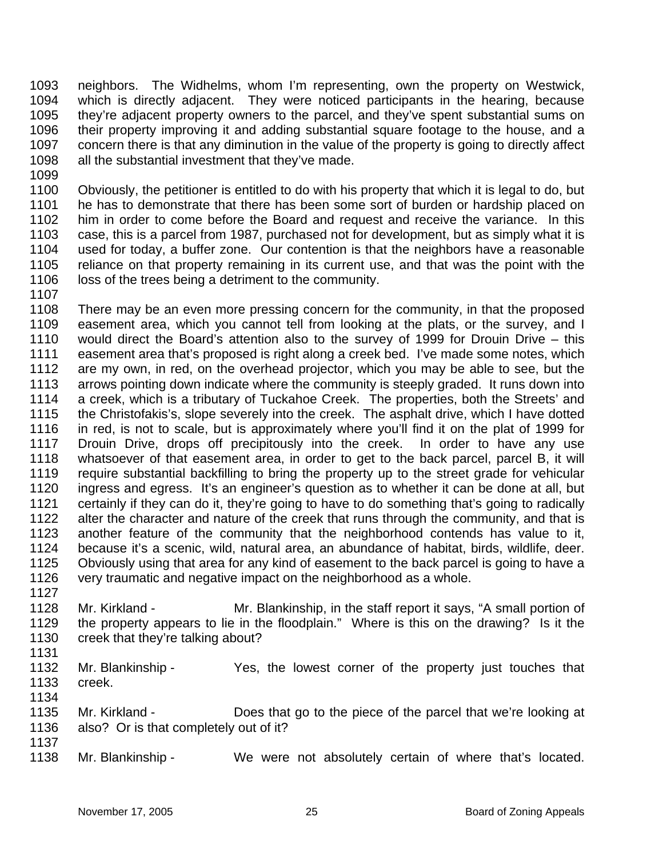1093 1094 1095 1096 1097 1098 1099 neighbors. The Widhelms, whom I'm representing, own the property on Westwick, which is directly adjacent. They were noticed participants in the hearing, because they're adjacent property owners to the parcel, and they've spent substantial sums on their property improving it and adding substantial square footage to the house, and a concern there is that any diminution in the value of the property is going to directly affect all the substantial investment that they've made.

- 1100 1101 1102 1103 1104 1105 1106 Obviously, the petitioner is entitled to do with his property that which it is legal to do, but he has to demonstrate that there has been some sort of burden or hardship placed on him in order to come before the Board and request and receive the variance. In this case, this is a parcel from 1987, purchased not for development, but as simply what it is used for today, a buffer zone. Our contention is that the neighbors have a reasonable reliance on that property remaining in its current use, and that was the point with the loss of the trees being a detriment to the community.
- 1107

1108 1109 1110 1111 1112 1113 1114 1115 1116 1117 1118 1119 1120 1121 1122 1123 1124 1125 1126 1127 There may be an even more pressing concern for the community, in that the proposed easement area, which you cannot tell from looking at the plats, or the survey, and I would direct the Board's attention also to the survey of 1999 for Drouin Drive – this easement area that's proposed is right along a creek bed. I've made some notes, which are my own, in red, on the overhead projector, which you may be able to see, but the arrows pointing down indicate where the community is steeply graded. It runs down into a creek, which is a tributary of Tuckahoe Creek. The properties, both the Streets' and the Christofakis's, slope severely into the creek. The asphalt drive, which I have dotted in red, is not to scale, but is approximately where you'll find it on the plat of 1999 for Drouin Drive, drops off precipitously into the creek. In order to have any use whatsoever of that easement area, in order to get to the back parcel, parcel B, it will require substantial backfilling to bring the property up to the street grade for vehicular ingress and egress. It's an engineer's question as to whether it can be done at all, but certainly if they can do it, they're going to have to do something that's going to radically alter the character and nature of the creek that runs through the community, and that is another feature of the community that the neighborhood contends has value to it, because it's a scenic, wild, natural area, an abundance of habitat, birds, wildlife, deer. Obviously using that area for any kind of easement to the back parcel is going to have a very traumatic and negative impact on the neighborhood as a whole.

- 1128 1129 1130 Mr. Kirkland - Mr. Blankinship, in the staff report it says, "A small portion of the property appears to lie in the floodplain." Where is this on the drawing? Is it the creek that they're talking about?
- 1131
- 1132 1133 1134 Mr. Blankinship - Yes, the lowest corner of the property just touches that creek.
- 1135 1136 Mr. Kirkland - Does that go to the piece of the parcel that we're looking at also? Or is that completely out of it?
- 1137 1138

Mr. Blankinship - We were not absolutely certain of where that's located.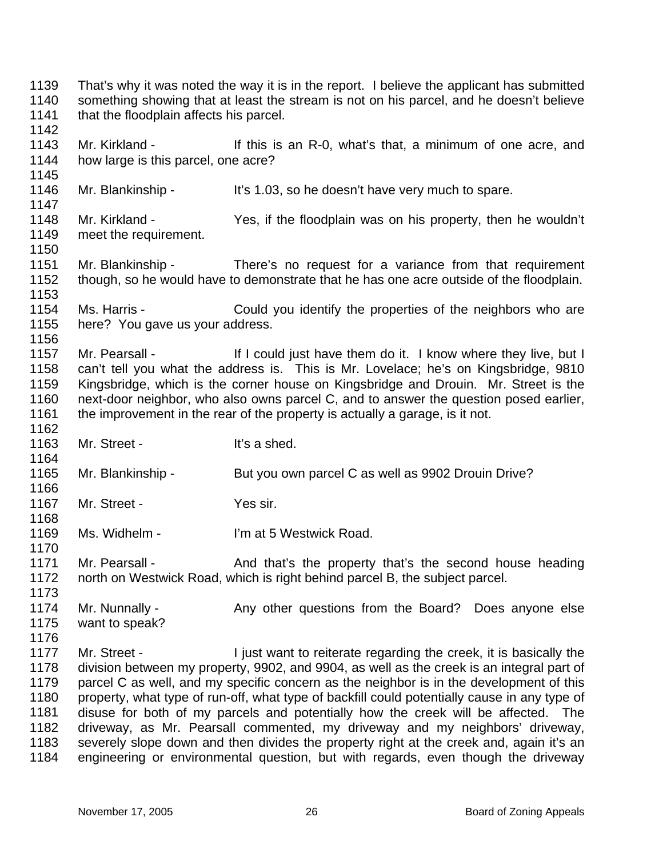1139 1140 1141 1142 That's why it was noted the way it is in the report. I believe the applicant has submitted something showing that at least the stream is not on his parcel, and he doesn't believe that the floodplain affects his parcel.

1143 1144 1145 Mr. Kirkland - If this is an R-0, what's that, a minimum of one acre, and how large is this parcel, one acre?

1146 Mr. Blankinship - It's 1.03, so he doesn't have very much to spare.

1148 1149 Mr. Kirkland - Yes, if the floodplain was on his property, then he wouldn't meet the requirement.

1151 1152 1153 Mr. Blankinship - There's no request for a variance from that requirement though, so he would have to demonstrate that he has one acre outside of the floodplain.

1154 1155 Ms. Harris - Could you identify the properties of the neighbors who are here? You gave us your address.

1157 1158 1159 1160 1161 1162 Mr. Pearsall - If I could just have them do it. I know where they live, but I can't tell you what the address is. This is Mr. Lovelace; he's on Kingsbridge, 9810 Kingsbridge, which is the corner house on Kingsbridge and Drouin. Mr. Street is the next-door neighbor, who also owns parcel C, and to answer the question posed earlier, the improvement in the rear of the property is actually a garage, is it not.

1163 Mr. Street - It's a shed.

1165 Mr. Blankinship - But you own parcel C as well as 9902 Drouin Drive?

1167 Mr. Street - Yes sir.

1169 Ms. Widhelm - I'm at 5 Westwick Road.

1171 1172 Mr. Pearsall - The And that's the property that's the second house heading north on Westwick Road, which is right behind parcel B, the subject parcel.

1174 1175 Mr. Nunnally - Any other questions from the Board? Does anyone else want to speak?

1176

1147

1150

1156

1164

1166

1168

1170

1173

1177 1178 1179 1180 1181 1182 Mr. Street - I just want to reiterate regarding the creek, it is basically the division between my property, 9902, and 9904, as well as the creek is an integral part of parcel C as well, and my specific concern as the neighbor is in the development of this property, what type of run-off, what type of backfill could potentially cause in any type of disuse for both of my parcels and potentially how the creek will be affected. The driveway, as Mr. Pearsall commented, my driveway and my neighbors' driveway, severely slope down and then divides the property right at the creek and, again it's an

1183 1184 engineering or environmental question, but with regards, even though the driveway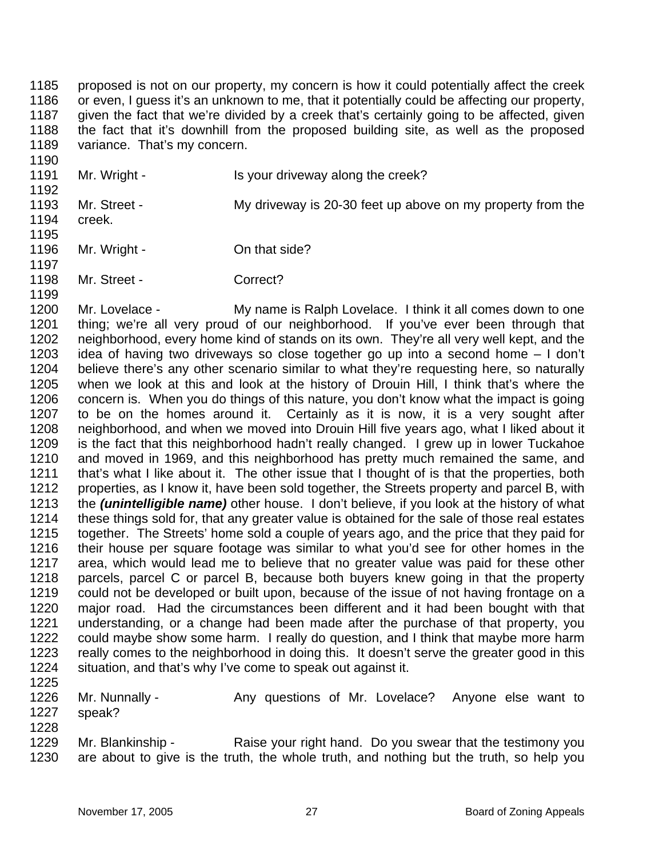1185 1186 1187 1188 1189 proposed is not on our property, my concern is how it could potentially affect the creek or even, I guess it's an unknown to me, that it potentially could be affecting our property, given the fact that we're divided by a creek that's certainly going to be affected, given the fact that it's downhill from the proposed building site, as well as the proposed variance. That's my concern.

- 1190 1191 1192 1193 1194 1195 1196 Mr. Wright - Is your driveway along the creek? Mr. Street - My driveway is 20-30 feet up above on my property from the creek. Mr. Wright - Con that side?
- 1198 Mr. Street - Correct?

1197

1199

1200 1201 1202 1203 1204 1205 1206 1207 1208 1209 1210 1211 1212 1213 1214 1215 1216 1217 1218 1219 1220 1221 1222 1223 1224 Mr. Lovelace - My name is Ralph Lovelace. I think it all comes down to one thing; we're all very proud of our neighborhood. If you've ever been through that neighborhood, every home kind of stands on its own. They're all very well kept, and the idea of having two driveways so close together go up into a second home – I don't believe there's any other scenario similar to what they're requesting here, so naturally when we look at this and look at the history of Drouin Hill, I think that's where the concern is. When you do things of this nature, you don't know what the impact is going to be on the homes around it. Certainly as it is now, it is a very sought after neighborhood, and when we moved into Drouin Hill five years ago, what I liked about it is the fact that this neighborhood hadn't really changed. I grew up in lower Tuckahoe and moved in 1969, and this neighborhood has pretty much remained the same, and that's what I like about it. The other issue that I thought of is that the properties, both properties, as I know it, have been sold together, the Streets property and parcel B, with the *(unintelligible name)* other house. I don't believe, if you look at the history of what these things sold for, that any greater value is obtained for the sale of those real estates together. The Streets' home sold a couple of years ago, and the price that they paid for their house per square footage was similar to what you'd see for other homes in the area, which would lead me to believe that no greater value was paid for these other parcels, parcel C or parcel B, because both buyers knew going in that the property could not be developed or built upon, because of the issue of not having frontage on a major road. Had the circumstances been different and it had been bought with that understanding, or a change had been made after the purchase of that property, you could maybe show some harm. I really do question, and I think that maybe more harm really comes to the neighborhood in doing this. It doesn't serve the greater good in this situation, and that's why I've come to speak out against it.

- 1225 1226 1227 1228 Mr. Nunnally - Any questions of Mr. Lovelace? Anyone else want to speak?
- 1229 1230 Mr. Blankinship - Raise your right hand. Do you swear that the testimony you are about to give is the truth, the whole truth, and nothing but the truth, so help you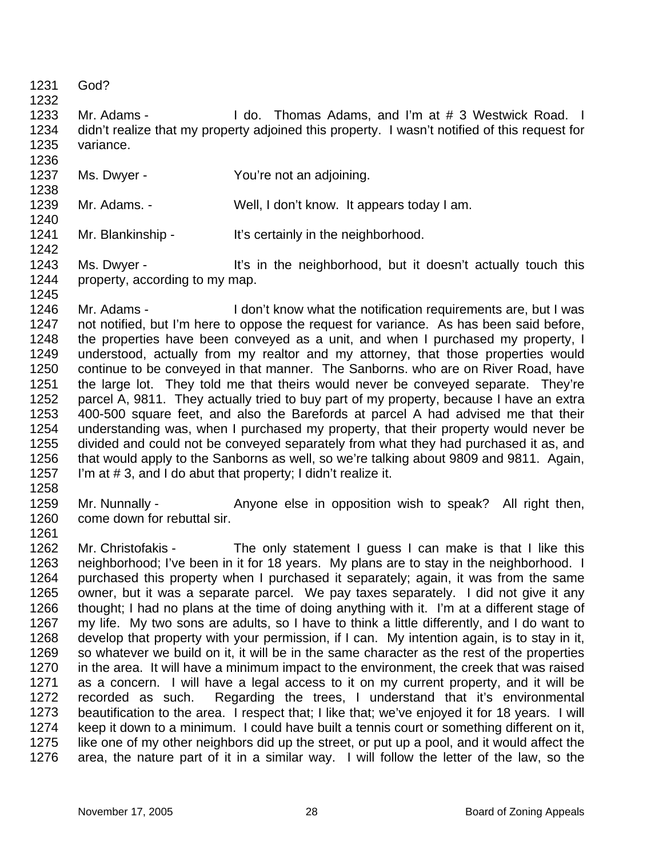- 1231 God?
- 1232

1238

1242

1245

1233 1234 1235 Mr. Adams - I do. Thomas Adams, and I'm at # 3 Westwick Road. I didn't realize that my property adjoined this property. I wasn't notified of this request for variance.

- 1237 Ms. Dwyer - You're not an adjoining.
- 1239 1240 Mr. Adams. - Well, I don't know. It appears today I am.
- 1241 Mr. Blankinship - It's certainly in the neighborhood.
- 1243 1244 Ms. Dwyer - It's in the neighborhood, but it doesn't actually touch this property, according to my map.
- 1246 1247 1248 1249 1250 1251 1252 1253 1254 1255 1256 1257 Mr. Adams - I don't know what the notification requirements are, but I was not notified, but I'm here to oppose the request for variance. As has been said before, the properties have been conveyed as a unit, and when I purchased my property, I understood, actually from my realtor and my attorney, that those properties would continue to be conveyed in that manner. The Sanborns. who are on River Road, have the large lot. They told me that theirs would never be conveyed separate. They're parcel A, 9811. They actually tried to buy part of my property, because I have an extra 400-500 square feet, and also the Barefords at parcel A had advised me that their understanding was, when I purchased my property, that their property would never be divided and could not be conveyed separately from what they had purchased it as, and that would apply to the Sanborns as well, so we're talking about 9809 and 9811. Again, I'm at #3, and I do abut that property; I didn't realize it.
- 1258

1261

1259 1260 Mr. Nunnally - Anyone else in opposition wish to speak? All right then, come down for rebuttal sir.

1262 1263 1264 1265 1266 1267 1268 1269 1270 1271 1272 1273 1274 1275 1276 Mr. Christofakis - The only statement I guess I can make is that I like this neighborhood; I've been in it for 18 years. My plans are to stay in the neighborhood. I purchased this property when I purchased it separately; again, it was from the same owner, but it was a separate parcel. We pay taxes separately. I did not give it any thought; I had no plans at the time of doing anything with it. I'm at a different stage of my life. My two sons are adults, so I have to think a little differently, and I do want to develop that property with your permission, if I can. My intention again, is to stay in it, so whatever we build on it, it will be in the same character as the rest of the properties in the area. It will have a minimum impact to the environment, the creek that was raised as a concern. I will have a legal access to it on my current property, and it will be recorded as such. Regarding the trees, I understand that it's environmental beautification to the area. I respect that; I like that; we've enjoyed it for 18 years. I will keep it down to a minimum. I could have built a tennis court or something different on it, like one of my other neighbors did up the street, or put up a pool, and it would affect the area, the nature part of it in a similar way. I will follow the letter of the law, so the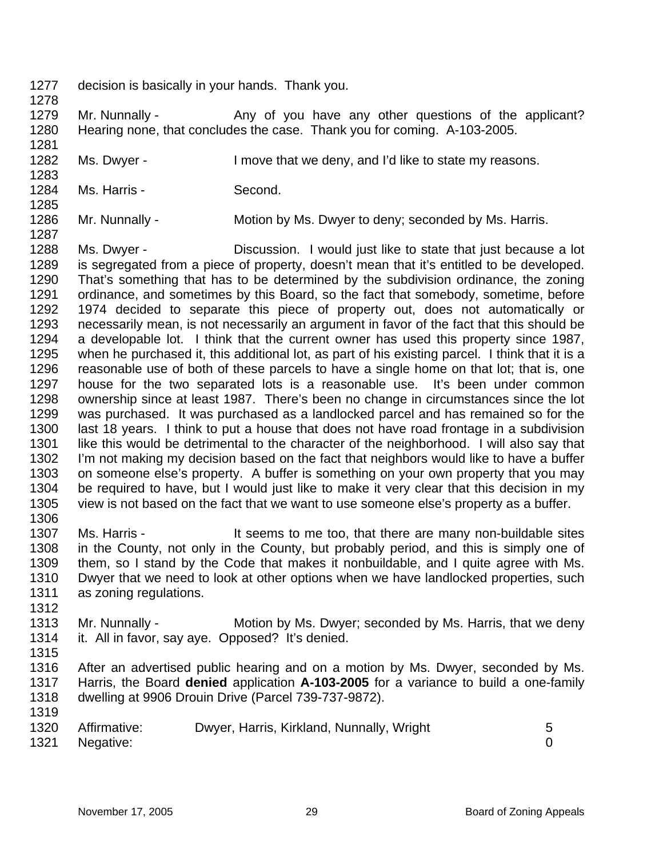- 1277 decision is basically in your hands. Thank you.
- 1279 1280 Mr. Nunnally - Any of you have any other questions of the applicant? Hearing none, that concludes the case. Thank you for coming. A-103-2005.
- 1282 Ms. Dwyer - I move that we deny, and I'd like to state my reasons.
- 1284 Ms. Harris - Second.
- 1286 Mr. Nunnally - Motion by Ms. Dwyer to deny; seconded by Ms. Harris.
- 1288 1289 1290 1291 1292 1293 1294 1295 1296 1297 1298 1299 1300 1301 1302 1303 1304 1305 1306 Ms. Dwyer - Discussion. I would just like to state that just because a lot is segregated from a piece of property, doesn't mean that it's entitled to be developed. That's something that has to be determined by the subdivision ordinance, the zoning ordinance, and sometimes by this Board, so the fact that somebody, sometime, before 1974 decided to separate this piece of property out, does not automatically or necessarily mean, is not necessarily an argument in favor of the fact that this should be a developable lot. I think that the current owner has used this property since 1987, when he purchased it, this additional lot, as part of his existing parcel. I think that it is a reasonable use of both of these parcels to have a single home on that lot; that is, one house for the two separated lots is a reasonable use. It's been under common ownership since at least 1987. There's been no change in circumstances since the lot was purchased. It was purchased as a landlocked parcel and has remained so for the last 18 years. I think to put a house that does not have road frontage in a subdivision like this would be detrimental to the character of the neighborhood. I will also say that I'm not making my decision based on the fact that neighbors would like to have a buffer on someone else's property. A buffer is something on your own property that you may be required to have, but I would just like to make it very clear that this decision in my view is not based on the fact that we want to use someone else's property as a buffer.
- 1307 1308 1309 1310 1311 Ms. Harris - It seems to me too, that there are many non-buildable sites in the County, not only in the County, but probably period, and this is simply one of them, so I stand by the Code that makes it nonbuildable, and I quite agree with Ms. Dwyer that we need to look at other options when we have landlocked properties, such as zoning regulations.
- 1313 1314 Mr. Nunnally - Motion by Ms. Dwyer; seconded by Ms. Harris, that we deny it. All in favor, say aye. Opposed? It's denied.
- 1315

1312

1278

1281

1283

1285

1287

1316 1317 1318 After an advertised public hearing and on a motion by Ms. Dwyer, seconded by Ms. Harris, the Board **denied** application **A-103-2005** for a variance to build a one-family dwelling at 9906 Drouin Drive (Parcel 739-737-9872).

| 1320 Affirmative: | Dwyer, Harris, Kirkland, Nunnally, Wright |  |
|-------------------|-------------------------------------------|--|
| 1321 Negative:    |                                           |  |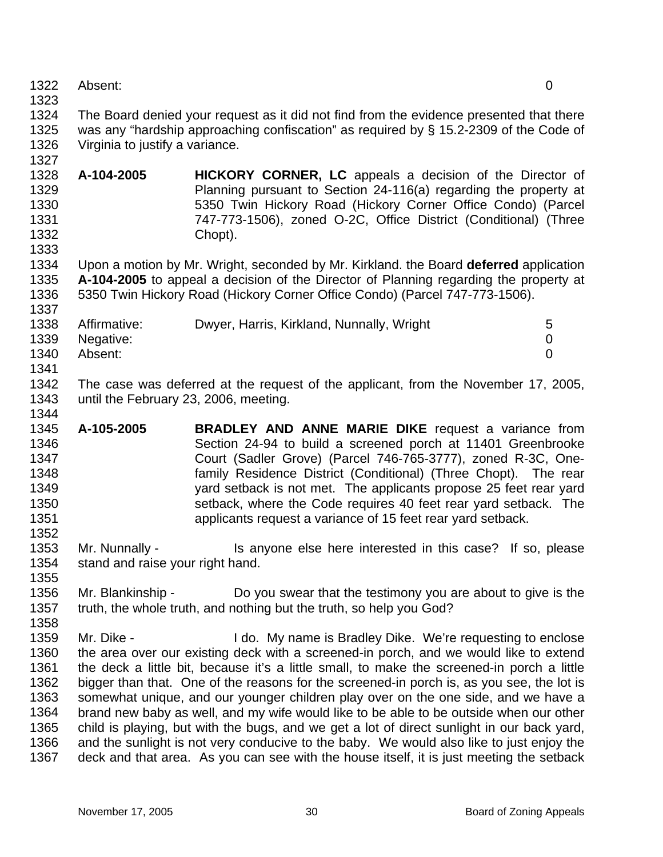- 1322 Absent: 0
- 1323

1337

1344

1352

1358

1324 1325 1326 The Board denied your request as it did not find from the evidence presented that there was any "hardship approaching confiscation" as required by § 15.2-2309 of the Code of Virginia to justify a variance.

1328 1329 1330 1331 1332 1333 **A-104-2005 HICKORY CORNER, LC** appeals a decision of the Director of Planning pursuant to Section 24-116(a) regarding the property at 5350 Twin Hickory Road (Hickory Corner Office Condo) (Parcel 747-773-1506), zoned O-2C, Office District (Conditional) (Three Chopt).

1334 1335 1336 Upon a motion by Mr. Wright, seconded by Mr. Kirkland. the Board **deferred** application **A-104-2005** to appeal a decision of the Director of Planning regarding the property at 5350 Twin Hickory Road (Hickory Corner Office Condo) (Parcel 747-773-1506).

| 1338 | Affirmative: | Dwyer, Harris, Kirkland, Nunnally, Wright | 5 |
|------|--------------|-------------------------------------------|---|
| 1339 | Negative:    |                                           |   |
| 1340 | Absent:      |                                           |   |
| 1341 |              |                                           |   |

- 1342 1343 The case was deferred at the request of the applicant, from the November 17, 2005, until the February 23, 2006, meeting.
- 1345 1346 1347 1348 1349 1350 1351 **A-105-2005 BRADLEY AND ANNE MARIE DIKE** request a variance from Section 24-94 to build a screened porch at 11401 Greenbrooke Court (Sadler Grove) (Parcel 746-765-3777), zoned R-3C, Onefamily Residence District (Conditional) (Three Chopt). The rear yard setback is not met. The applicants propose 25 feet rear yard setback, where the Code requires 40 feet rear yard setback. The applicants request a variance of 15 feet rear yard setback.
- 1353 1354 1355 Mr. Nunnally - This anyone else here interested in this case? If so, please stand and raise your right hand.
- 1356 1357 Mr. Blankinship - Do you swear that the testimony you are about to give is the truth, the whole truth, and nothing but the truth, so help you God?
- 1359 1360 1361 1362 1363 1364 1365 1366 1367 Mr. Dike - I do. My name is Bradley Dike. We're requesting to enclose the area over our existing deck with a screened-in porch, and we would like to extend the deck a little bit, because it's a little small, to make the screened-in porch a little bigger than that. One of the reasons for the screened-in porch is, as you see, the lot is somewhat unique, and our younger children play over on the one side, and we have a brand new baby as well, and my wife would like to be able to be outside when our other child is playing, but with the bugs, and we get a lot of direct sunlight in our back yard, and the sunlight is not very conducive to the baby. We would also like to just enjoy the deck and that area. As you can see with the house itself, it is just meeting the setback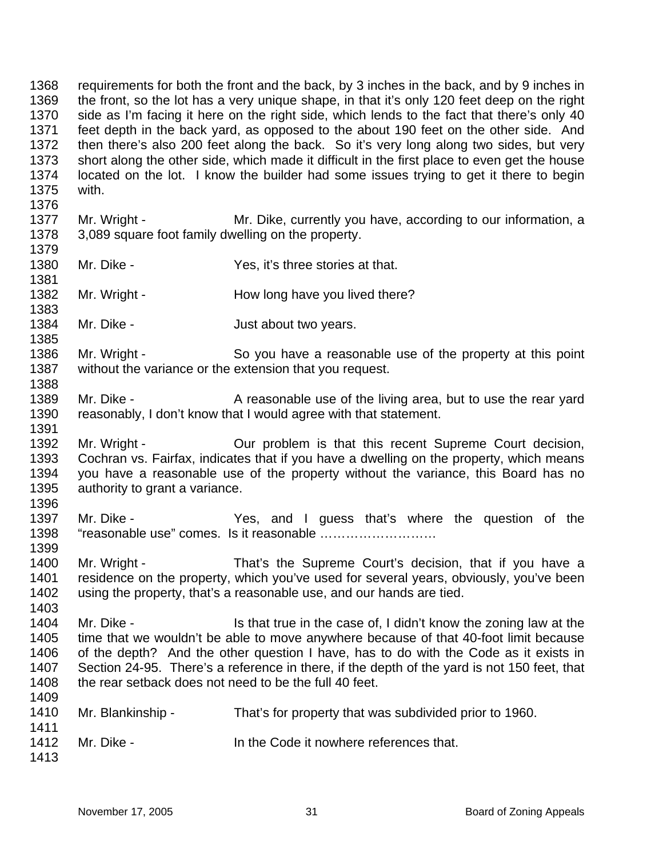1368 1369 1370 1371 1372 1373 1374 1375 1376 1377 1378 1379 1380 1381 1382 1383 1384 1385 1386 1387 1388 1389 1390 1391 1392 1393 1394 1395 1396 1397 1398 1399 1400 1401 1402 1403 1404 1405 1406 1407 1408 1409 1410 1411 1412 1413 requirements for both the front and the back, by 3 inches in the back, and by 9 inches in the front, so the lot has a very unique shape, in that it's only 120 feet deep on the right side as I'm facing it here on the right side, which lends to the fact that there's only 40 feet depth in the back yard, as opposed to the about 190 feet on the other side. And then there's also 200 feet along the back. So it's very long along two sides, but very short along the other side, which made it difficult in the first place to even get the house located on the lot. I know the builder had some issues trying to get it there to begin with. Mr. Wright - Mr. Dike, currently you have, according to our information, a 3,089 square foot family dwelling on the property. Mr. Dike - Yes, it's three stories at that. Mr. Wright - **How long have you lived there?** Mr. Dike - The South Superstand Just about two years. Mr. Wright - So you have a reasonable use of the property at this point without the variance or the extension that you request. Mr. Dike - A reasonable use of the living area, but to use the rear yard reasonably, I don't know that I would agree with that statement. Mr. Wright - **Our problem is that this recent Supreme Court decision,** Cochran vs. Fairfax, indicates that if you have a dwelling on the property, which means you have a reasonable use of the property without the variance, this Board has no authority to grant a variance. Mr. Dike - Yes, and I guess that's where the question of the "reasonable use" comes. Is it reasonable ……………………… Mr. Wright - That's the Supreme Court's decision, that if you have a residence on the property, which you've used for several years, obviously, you've been using the property, that's a reasonable use, and our hands are tied. Mr. Dike - Is that true in the case of, I didn't know the zoning law at the time that we wouldn't be able to move anywhere because of that 40-foot limit because of the depth? And the other question I have, has to do with the Code as it exists in Section 24-95. There's a reference in there, if the depth of the yard is not 150 feet, that the rear setback does not need to be the full 40 feet. Mr. Blankinship - That's for property that was subdivided prior to 1960. Mr. Dike - In the Code it nowhere references that.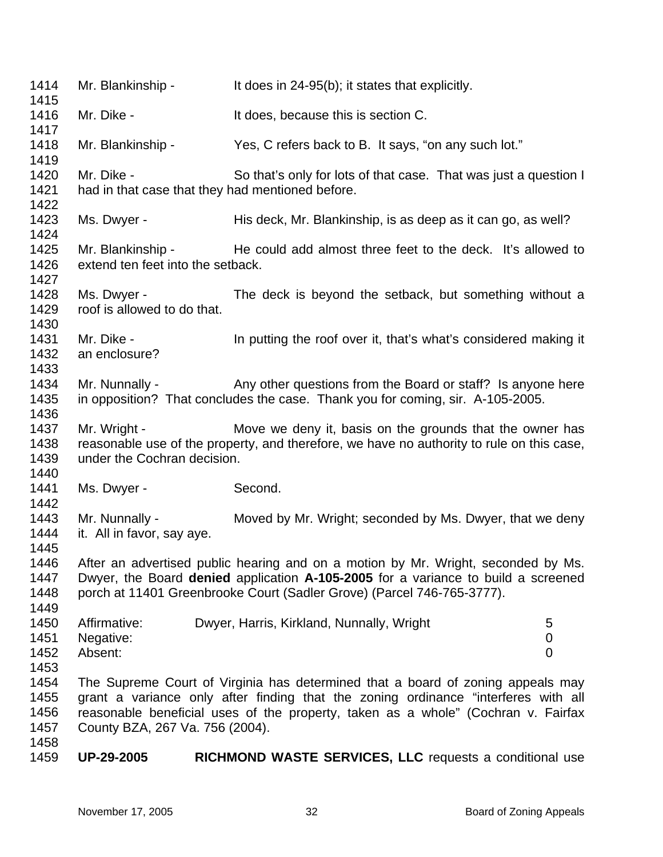1414 1415 1416 1417 1418 1419 1420 1421 1422 1423 1424 1425 1426 1427 1428 1429 1430 1431 1432 1433 1434 1435 1436 1437 1438 1439 1440 1441 1442 1443 1444 1445 1446 1447 1448 1449 1450 1451 1452 1453 1454 1455 1456 1457 1458 1459 Mr. Blankinship - It does in 24-95(b); it states that explicitly. Mr. Dike - It does, because this is section C. Mr. Blankinship - Yes, C refers back to B. It says, "on any such lot." Mr. Dike - So that's only for lots of that case. That was just a question I had in that case that they had mentioned before. Ms. Dwyer - His deck, Mr. Blankinship, is as deep as it can go, as well? Mr. Blankinship - He could add almost three feet to the deck. It's allowed to extend ten feet into the setback. Ms. Dwyer - The deck is beyond the setback, but something without a roof is allowed to do that. Mr. Dike - In putting the roof over it, that's what's considered making it an enclosure? Mr. Nunnally - Any other questions from the Board or staff? Is anyone here in opposition? That concludes the case. Thank you for coming, sir. A-105-2005. Mr. Wright - Move we deny it, basis on the grounds that the owner has reasonable use of the property, and therefore, we have no authority to rule on this case, under the Cochran decision. Ms. Dwyer - Second. Mr. Nunnally - Moved by Mr. Wright; seconded by Ms. Dwyer, that we deny it. All in favor, say aye. After an advertised public hearing and on a motion by Mr. Wright, seconded by Ms. Dwyer, the Board **denied** application **A-105-2005** for a variance to build a screened porch at 11401 Greenbrooke Court (Sadler Grove) (Parcel 746-765-3777). Affirmative: Dwyer, Harris, Kirkland, Nunnally, Wright 5 Negative: 0 Absent: 0 The Supreme Court of Virginia has determined that a board of zoning appeals may grant a variance only after finding that the zoning ordinance "interferes with all reasonable beneficial uses of the property, taken as a whole" (Cochran v. Fairfax County BZA, 267 Va. 756 (2004). **UP-29-2005 RICHMOND WASTE SERVICES, LLC** requests a conditional use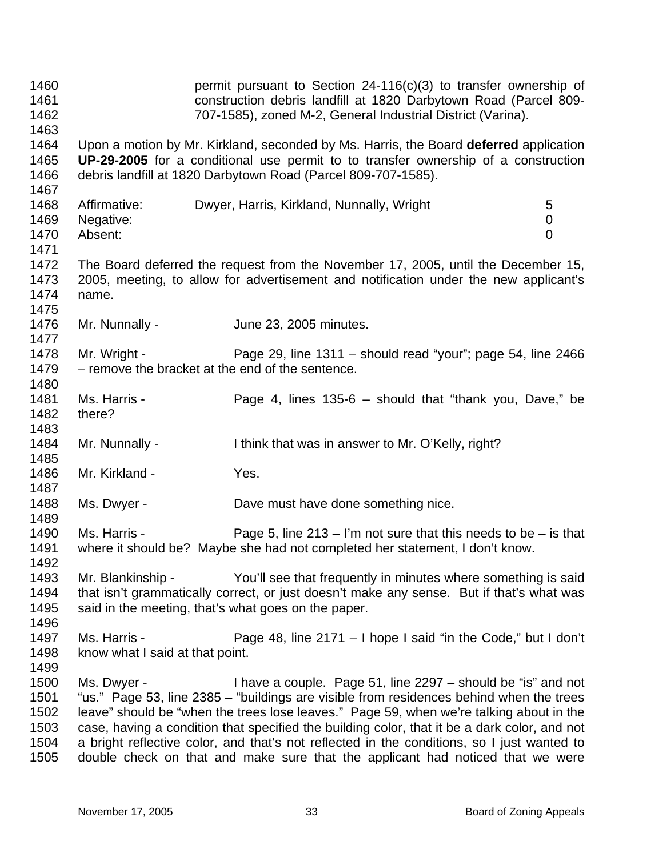| 1460<br>1461<br>1462<br>1463                         |                                                                                                                                                                                                                                              | permit pursuant to Section $24-116(c)(3)$ to transfer ownership of<br>construction debris landfill at 1820 Darbytown Road (Parcel 809-<br>707-1585), zoned M-2, General Industrial District (Varina).                                                                                                                                                                                                                                                                                                                              |                                    |
|------------------------------------------------------|----------------------------------------------------------------------------------------------------------------------------------------------------------------------------------------------------------------------------------------------|------------------------------------------------------------------------------------------------------------------------------------------------------------------------------------------------------------------------------------------------------------------------------------------------------------------------------------------------------------------------------------------------------------------------------------------------------------------------------------------------------------------------------------|------------------------------------|
| 1464<br>1465<br>1466<br>1467                         | Upon a motion by Mr. Kirkland, seconded by Ms. Harris, the Board deferred application<br>UP-29-2005 for a conditional use permit to to transfer ownership of a construction<br>debris landfill at 1820 Darbytown Road (Parcel 809-707-1585). |                                                                                                                                                                                                                                                                                                                                                                                                                                                                                                                                    |                                    |
| 1468<br>1469<br>1470                                 | Affirmative:<br>Negative:<br>Absent:                                                                                                                                                                                                         | Dwyer, Harris, Kirkland, Nunnally, Wright                                                                                                                                                                                                                                                                                                                                                                                                                                                                                          | 5<br>$\mathbf 0$<br>$\overline{0}$ |
| 1471<br>1472<br>1473<br>1474                         | name.                                                                                                                                                                                                                                        | The Board deferred the request from the November 17, 2005, until the December 15,<br>2005, meeting, to allow for advertisement and notification under the new applicant's                                                                                                                                                                                                                                                                                                                                                          |                                    |
| 1475<br>1476<br>1477                                 | Mr. Nunnally -                                                                                                                                                                                                                               | June 23, 2005 minutes.                                                                                                                                                                                                                                                                                                                                                                                                                                                                                                             |                                    |
| 1478<br>1479<br>1480                                 | Mr. Wright -<br>- remove the bracket at the end of the sentence.                                                                                                                                                                             | Page 29, line $1311 -$ should read "your"; page 54, line 2466                                                                                                                                                                                                                                                                                                                                                                                                                                                                      |                                    |
| 1481<br>1482                                         | Ms. Harris -<br>there?                                                                                                                                                                                                                       | Page 4, lines 135-6 – should that "thank you, Dave," be                                                                                                                                                                                                                                                                                                                                                                                                                                                                            |                                    |
| 1483<br>1484<br>1485                                 | Mr. Nunnally -                                                                                                                                                                                                                               | I think that was in answer to Mr. O'Kelly, right?                                                                                                                                                                                                                                                                                                                                                                                                                                                                                  |                                    |
| 1486<br>1487                                         | Mr. Kirkland -                                                                                                                                                                                                                               | Yes.                                                                                                                                                                                                                                                                                                                                                                                                                                                                                                                               |                                    |
| 1488<br>1489                                         | Ms. Dwyer -                                                                                                                                                                                                                                  | Dave must have done something nice.                                                                                                                                                                                                                                                                                                                                                                                                                                                                                                |                                    |
| 1490<br>1491<br>1492                                 | Ms. Harris -                                                                                                                                                                                                                                 | Page 5, line $213 - I'm$ not sure that this needs to be $-$ is that<br>where it should be? Maybe she had not completed her statement, I don't know.                                                                                                                                                                                                                                                                                                                                                                                |                                    |
| 1493<br>1494<br>1495<br>1496                         | Mr. Blankinship -<br>said in the meeting, that's what goes on the paper.                                                                                                                                                                     | You'll see that frequently in minutes where something is said<br>that isn't grammatically correct, or just doesn't make any sense. But if that's what was                                                                                                                                                                                                                                                                                                                                                                          |                                    |
| 1497<br>1498                                         | Ms. Harris -<br>know what I said at that point.                                                                                                                                                                                              | Page 48, line 2171 – I hope I said "in the Code," but I don't                                                                                                                                                                                                                                                                                                                                                                                                                                                                      |                                    |
| 1499<br>1500<br>1501<br>1502<br>1503<br>1504<br>1505 | Ms. Dwyer -                                                                                                                                                                                                                                  | I have a couple. Page 51, line 2297 – should be "is" and not<br>"us." Page 53, line 2385 – "buildings are visible from residences behind when the trees<br>leave" should be "when the trees lose leaves." Page 59, when we're talking about in the<br>case, having a condition that specified the building color, that it be a dark color, and not<br>a bright reflective color, and that's not reflected in the conditions, so I just wanted to<br>double check on that and make sure that the applicant had noticed that we were |                                    |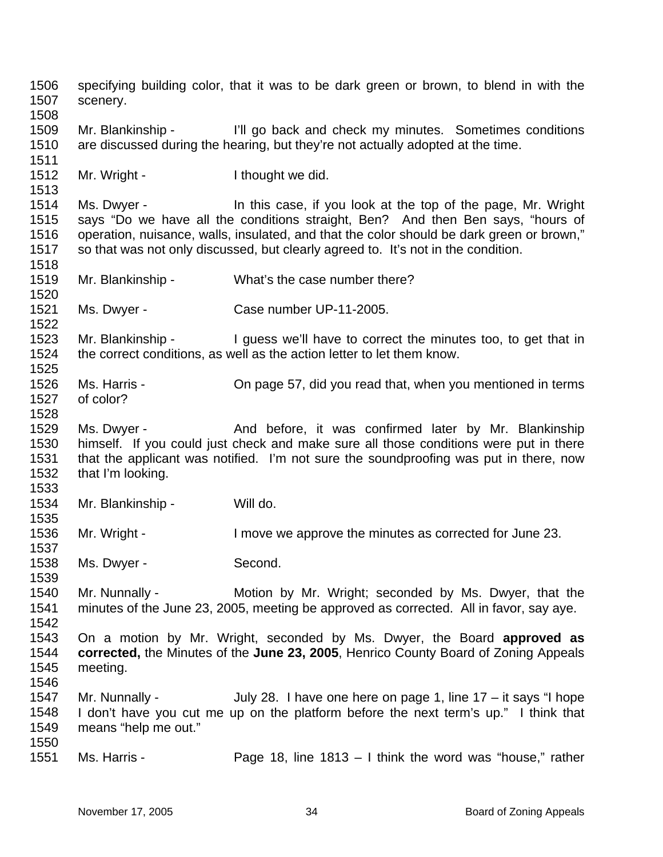1506 1507 1508 1509 1510 1511 1512 1513 1514 1515 1516 1517 1518 1519 1520 1521 1522 1523 1524 1525 1526 1527 1528 1529 1530 1531 1532 1533 1534 1535 1536 1537 1538 1539 1540 1541 1542 1543 1544 1545 1546 1547 1548 1549 1550 1551 specifying building color, that it was to be dark green or brown, to blend in with the scenery. Mr. Blankinship - I'll go back and check my minutes. Sometimes conditions are discussed during the hearing, but they're not actually adopted at the time. Mr. Wright - Thought we did. Ms. Dwyer - In this case, if you look at the top of the page, Mr. Wright says "Do we have all the conditions straight, Ben? And then Ben says, "hours of operation, nuisance, walls, insulated, and that the color should be dark green or brown," so that was not only discussed, but clearly agreed to. It's not in the condition. Mr. Blankinship - What's the case number there? Ms. Dwyer - Case number UP-11-2005. Mr. Blankinship - I guess we'll have to correct the minutes too, to get that in the correct conditions, as well as the action letter to let them know. Ms. Harris - On page 57, did you read that, when you mentioned in terms of color? Ms. Dwyer - The And before, it was confirmed later by Mr. Blankinship himself. If you could just check and make sure all those conditions were put in there that the applicant was notified. I'm not sure the soundproofing was put in there, now that I'm looking. Mr. Blankinship - Will do. Mr. Wright - I move we approve the minutes as corrected for June 23. Ms. Dwyer - Second. Mr. Nunnally - Motion by Mr. Wright; seconded by Ms. Dwyer, that the minutes of the June 23, 2005, meeting be approved as corrected. All in favor, say aye. On a motion by Mr. Wright, seconded by Ms. Dwyer, the Board **approved as corrected,** the Minutes of the **June 23, 2005**, Henrico County Board of Zoning Appeals meeting. Mr. Nunnally -  $\qquad \qquad$  July 28. I have one here on page 1, line 17 – it says "I hope I don't have you cut me up on the platform before the next term's up." I think that means "help me out." Ms. Harris - Page 18, line 1813 – I think the word was "house," rather